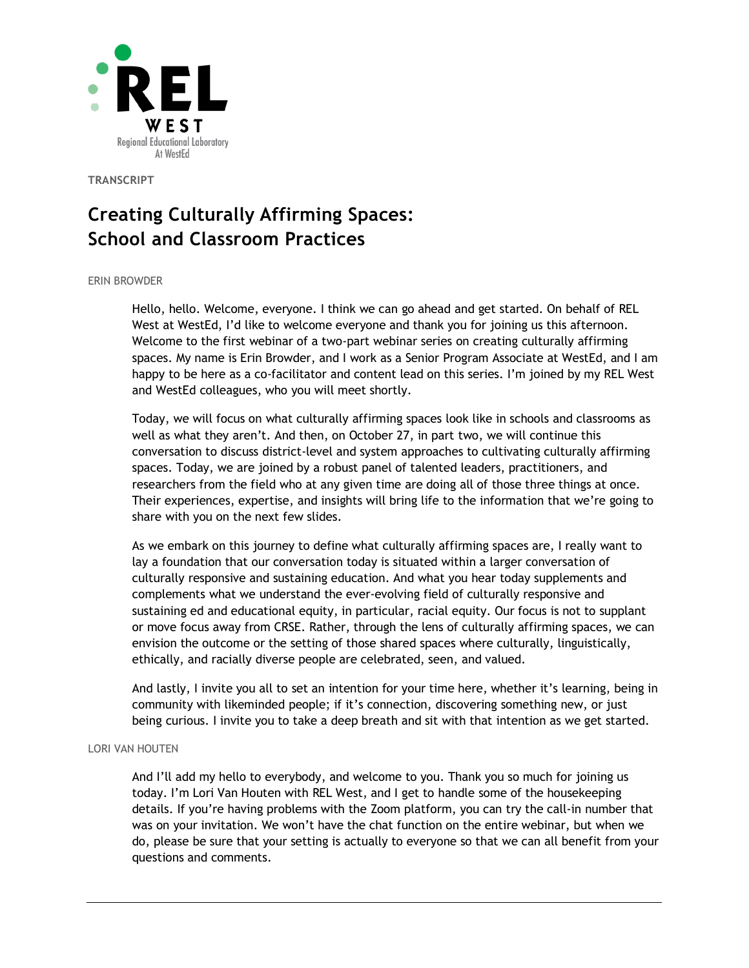

**TRANSCRIPT**

# **Creating Culturally Affirming Spaces: School and Classroom Practices**

# ERIN BROWDER

Hello, hello. Welcome, everyone. I think we can go ahead and get started. On behalf of REL West at WestEd, I'd like to welcome everyone and thank you for joining us this afternoon. Welcome to the first webinar of a two-part webinar series on creating culturally affirming spaces. My name is Erin Browder, and I work as a Senior Program Associate at WestEd, and I am happy to be here as a co-facilitator and content lead on this series. I'm joined by my REL West and WestEd colleagues, who you will meet shortly.

Today, we will focus on what culturally affirming spaces look like in schools and classrooms as well as what they aren't. And then, on October 27, in part two, we will continue this conversation to discuss district-level and system approaches to cultivating culturally affirming spaces. Today, we are joined by a robust panel of talented leaders, practitioners, and researchers from the field who at any given time are doing all of those three things at once. Their experiences, expertise, and insights will bring life to the information that we're going to share with you on the next few slides.

As we embark on this journey to define what culturally affirming spaces are, I really want to lay a foundation that our conversation today is situated within a larger conversation of culturally responsive and sustaining education. And what you hear today supplements and complements what we understand the ever-evolving field of culturally responsive and sustaining ed and educational equity, in particular, racial equity. Our focus is not to supplant or move focus away from CRSE. Rather, through the lens of culturally affirming spaces, we can envision the outcome or the setting of those shared spaces where culturally, linguistically, ethically, and racially diverse people are celebrated, seen, and valued.

And lastly, I invite you all to set an intention for your time here, whether it's learning, being in community with likeminded people; if it's connection, discovering something new, or just being curious. I invite you to take a deep breath and sit with that intention as we get started.

# LORI VAN HOUTEN

And I'll add my hello to everybody, and welcome to you. Thank you so much for joining us today. I'm Lori Van Houten with REL West, and I get to handle some of the housekeeping details. If you're having problems with the Zoom platform, you can try the call-in number that was on your invitation. We won't have the chat function on the entire webinar, but when we do, please be sure that your setting is actually to everyone so that we can all benefit from your questions and comments.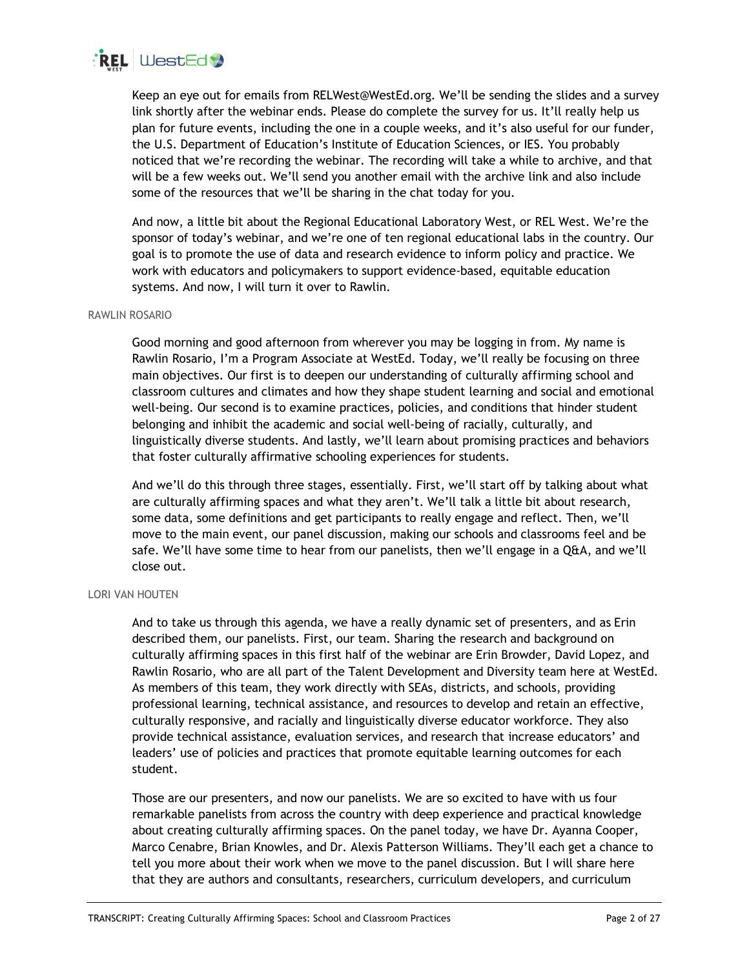

Keep an eye out for emails from RELWest@WestEd.org. We'll be sending the slides and a survey link shortly after the webinar ends. Please do complete the survey for us. It'll really help us plan for future events, including the one in a couple weeks, and it's also useful for our funder, the U.S. Department of Education's Institute of Education Sciences, or IES. You probably noticed that we're recording the webinar. The recording will take a while to archive, and that will be a few weeks out. We'll send you another email with the archive link and also include some of the resources that we'll be sharing in the chat today for you.

And now, a little bit about the Regional Educational Laboratory West, or REL West. We're the sponsor of today's webinar, and we're one of ten regional educational labs in the country. Our goal is to promote the use of data and research evidence to inform policy and practice. We work with educators and policymakers to support evidence-based, equitable education systems. And now, I will turn it over to Rawlin.

## RAWLIN ROSARIO

Good morning and good afternoon from wherever you may be logging in from. My name is Rawlin Rosario, I'm a Program Associate at WestEd. Today, we'll really be focusing on three main objectives. Our first is to deepen our understanding of culturally affirming school and classroom cultures and climates and how they shape student learning and social and emotional well-being. Our second is to examine practices, policies, and conditions that hinder student belonging and inhibit the academic and social well-being of racially, culturally, and linguistically diverse students. And lastly, we'll learn about promising practices and behaviors that foster culturally affirmative schooling experiences for students.

And we'll do this through three stages, essentially. First, we'll start off by talking about what are culturally affirming spaces and what they aren't. We'll talk a little bit about research, some data, some definitions and get participants to really engage and reflect. Then, we'll move to the main event, our panel discussion, making our schools and classrooms feel and be safe. We'll have some time to hear from our panelists, then we'll engage in a Q&A, and we'll close out.

## LORI VAN HOUTEN

And to take us through this agenda, we have a really dynamic set of presenters, and as Erin described them, our panelists. First, our team. Sharing the research and background on culturally affirming spaces in this first half of the webinar are Erin Browder, David Lopez, and Rawlin Rosario, who are all part of the Talent Development and Diversity team here at WestEd. As members of this team, they work directly with SEAs, districts, and schools, providing professional learning, technical assistance, and resources to develop and retain an effective, culturally responsive, and racially and linguistically diverse educator workforce. They also provide technical assistance, evaluation services, and research that increase educators' and leaders' use of policies and practices that promote equitable learning outcomes for each student.

Those are our presenters, and now our panelists. We are so excited to have with us four remarkable panelists from across the country with deep experience and practical knowledge about creating culturally affirming spaces. On the panel today, we have Dr. Ayanna Cooper, Marco Cenabre, Brian Knowles, and Dr. Alexis Patterson Williams. They'll each get a chance to tell you more about their work when we move to the panel discussion. But I will share here that they are authors and consultants, researchers, curriculum developers, and curriculum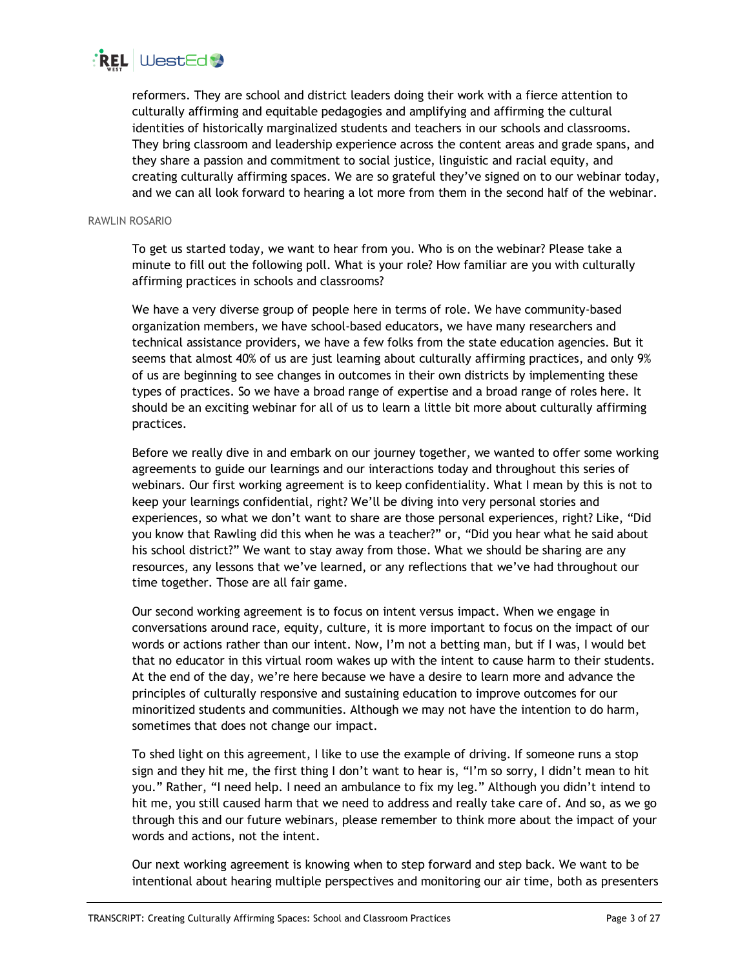

reformers. They are school and district leaders doing their work with a fierce attention to culturally affirming and equitable pedagogies and amplifying and affirming the cultural identities of historically marginalized students and teachers in our schools and classrooms. They bring classroom and leadership experience across the content areas and grade spans, and they share a passion and commitment to social justice, linguistic and racial equity, and creating culturally affirming spaces. We are so grateful they've signed on to our webinar today, and we can all look forward to hearing a lot more from them in the second half of the webinar.

#### RAWLIN ROSARIO

To get us started today, we want to hear from you. Who is on the webinar? Please take a minute to fill out the following poll. What is your role? How familiar are you with culturally affirming practices in schools and classrooms?

We have a very diverse group of people here in terms of role. We have community-based organization members, we have school-based educators, we have many researchers and technical assistance providers, we have a few folks from the state education agencies. But it seems that almost 40% of us are just learning about culturally affirming practices, and only 9% of us are beginning to see changes in outcomes in their own districts by implementing these types of practices. So we have a broad range of expertise and a broad range of roles here. It should be an exciting webinar for all of us to learn a little bit more about culturally affirming practices.

Before we really dive in and embark on our journey together, we wanted to offer some working agreements to guide our learnings and our interactions today and throughout this series of webinars. Our first working agreement is to keep confidentiality. What I mean by this is not to keep your learnings confidential, right? We'll be diving into very personal stories and experiences, so what we don't want to share are those personal experiences, right? Like, "Did you know that Rawling did this when he was a teacher?" or, "Did you hear what he said about his school district?" We want to stay away from those. What we should be sharing are any resources, any lessons that we've learned, or any reflections that we've had throughout our time together. Those are all fair game.

Our second working agreement is to focus on intent versus impact. When we engage in conversations around race, equity, culture, it is more important to focus on the impact of our words or actions rather than our intent. Now, I'm not a betting man, but if I was, I would bet that no educator in this virtual room wakes up with the intent to cause harm to their students. At the end of the day, we're here because we have a desire to learn more and advance the principles of culturally responsive and sustaining education to improve outcomes for our minoritized students and communities. Although we may not have the intention to do harm, sometimes that does not change our impact.

To shed light on this agreement, I like to use the example of driving. If someone runs a stop sign and they hit me, the first thing I don't want to hear is, "I'm so sorry, I didn't mean to hit you." Rather, "I need help. I need an ambulance to fix my leg." Although you didn't intend to hit me, you still caused harm that we need to address and really take care of. And so, as we go through this and our future webinars, please remember to think more about the impact of your words and actions, not the intent.

Our next working agreement is knowing when to step forward and step back. We want to be intentional about hearing multiple perspectives and monitoring our air time, both as presenters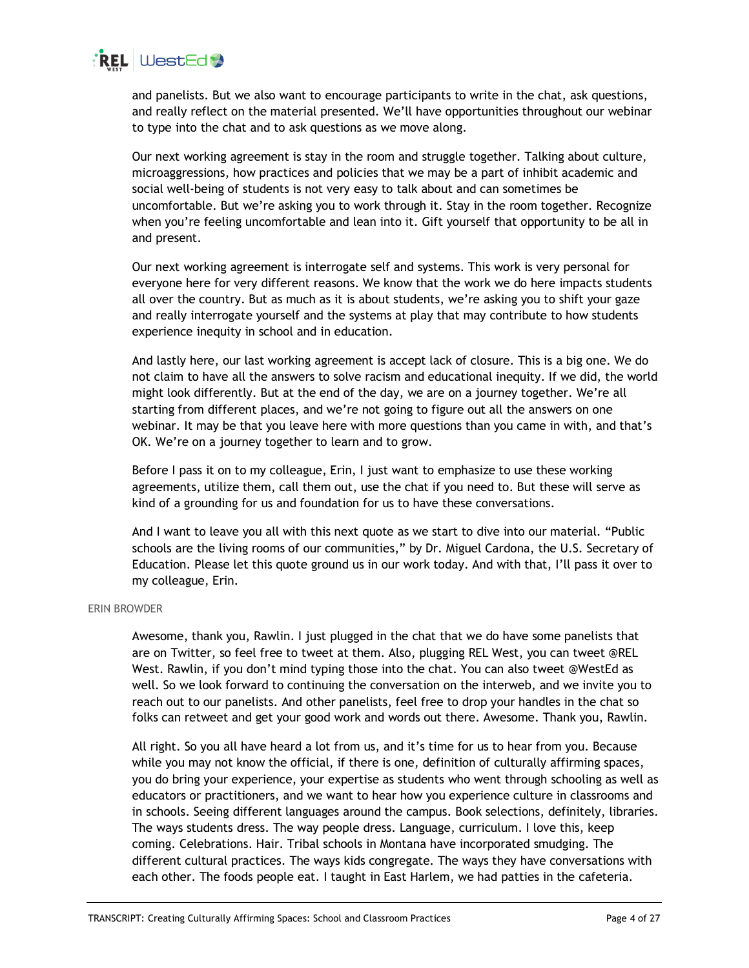

and panelists. But we also want to encourage participants to write in the chat, ask questions, and really reflect on the material presented. We'll have opportunities throughout our webinar to type into the chat and to ask questions as we move along.

Our next working agreement is stay in the room and struggle together. Talking about culture, microaggressions, how practices and policies that we may be a part of inhibit academic and social well-being of students is not very easy to talk about and can sometimes be uncomfortable. But we're asking you to work through it. Stay in the room together. Recognize when you're feeling uncomfortable and lean into it. Gift yourself that opportunity to be all in and present.

Our next working agreement is interrogate self and systems. This work is very personal for everyone here for very different reasons. We know that the work we do here impacts students all over the country. But as much as it is about students, we're asking you to shift your gaze and really interrogate yourself and the systems at play that may contribute to how students experience inequity in school and in education.

And lastly here, our last working agreement is accept lack of closure. This is a big one. We do not claim to have all the answers to solve racism and educational inequity. If we did, the world might look differently. But at the end of the day, we are on a journey together. We're all starting from different places, and we're not going to figure out all the answers on one webinar. It may be that you leave here with more questions than you came in with, and that's OK. We're on a journey together to learn and to grow.

Before I pass it on to my colleague, Erin, I just want to emphasize to use these working agreements, utilize them, call them out, use the chat if you need to. But these will serve as kind of a grounding for us and foundation for us to have these conversations.

And I want to leave you all with this next quote as we start to dive into our material. "Public schools are the living rooms of our communities," by Dr. Miguel Cardona, the U.S. Secretary of Education. Please let this quote ground us in our work today. And with that, I'll pass it over to my colleague, Erin.

## ERIN BROWDER

Awesome, thank you, Rawlin. I just plugged in the chat that we do have some panelists that are on Twitter, so feel free to tweet at them. Also, plugging REL West, you can tweet @REL West. Rawlin, if you don't mind typing those into the chat. You can also tweet @WestEd as well. So we look forward to continuing the conversation on the interweb, and we invite you to reach out to our panelists. And other panelists, feel free to drop your handles in the chat so folks can retweet and get your good work and words out there. Awesome. Thank you, Rawlin.

All right. So you all have heard a lot from us, and it's time for us to hear from you. Because while you may not know the official, if there is one, definition of culturally affirming spaces, you do bring your experience, your expertise as students who went through schooling as well as educators or practitioners, and we want to hear how you experience culture in classrooms and in schools. Seeing different languages around the campus. Book selections, definitely, libraries. The ways students dress. The way people dress. Language, curriculum. I love this, keep coming. Celebrations. Hair. Tribal schools in Montana have incorporated smudging. The different cultural practices. The ways kids congregate. The ways they have conversations with each other. The foods people eat. I taught in East Harlem, we had patties in the cafeteria.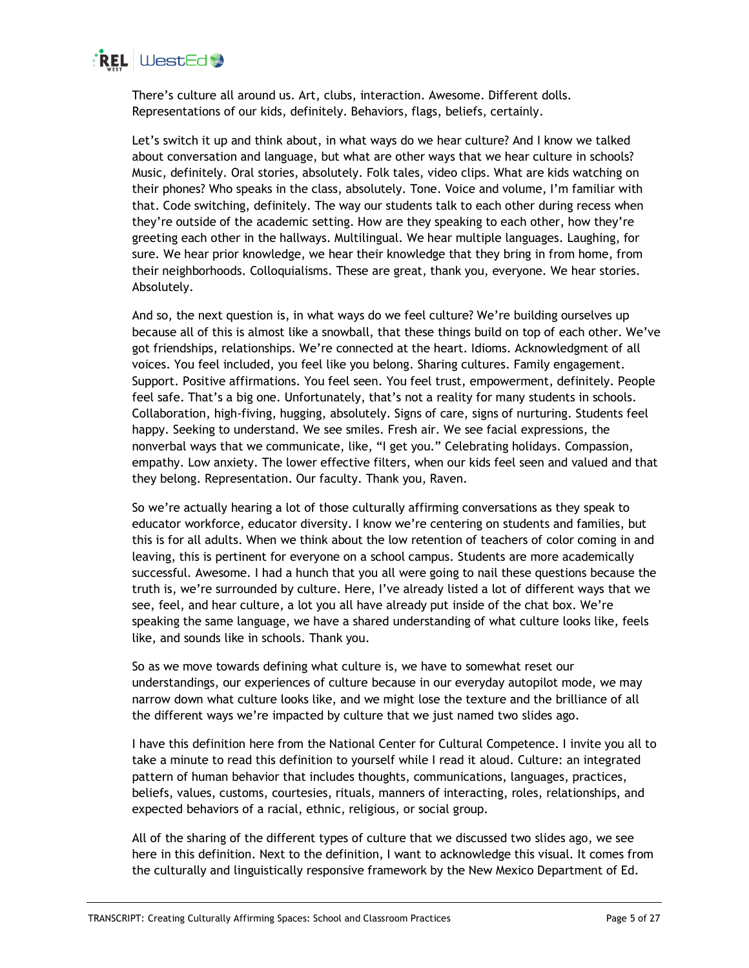

There's culture all around us. Art, clubs, interaction. Awesome. Different dolls. Representations of our kids, definitely. Behaviors, flags, beliefs, certainly.

Let's switch it up and think about, in what ways do we hear culture? And I know we talked about conversation and language, but what are other ways that we hear culture in schools? Music, definitely. Oral stories, absolutely. Folk tales, video clips. What are kids watching on their phones? Who speaks in the class, absolutely. Tone. Voice and volume, I'm familiar with that. Code switching, definitely. The way our students talk to each other during recess when they're outside of the academic setting. How are they speaking to each other, how they're greeting each other in the hallways. Multilingual. We hear multiple languages. Laughing, for sure. We hear prior knowledge, we hear their knowledge that they bring in from home, from their neighborhoods. Colloquialisms. These are great, thank you, everyone. We hear stories. Absolutely.

And so, the next question is, in what ways do we feel culture? We're building ourselves up because all of this is almost like a snowball, that these things build on top of each other. We've got friendships, relationships. We're connected at the heart. Idioms. Acknowledgment of all voices. You feel included, you feel like you belong. Sharing cultures. Family engagement. Support. Positive affirmations. You feel seen. You feel trust, empowerment, definitely. People feel safe. That's a big one. Unfortunately, that's not a reality for many students in schools. Collaboration, high-fiving, hugging, absolutely. Signs of care, signs of nurturing. Students feel happy. Seeking to understand. We see smiles. Fresh air. We see facial expressions, the nonverbal ways that we communicate, like, "I get you." Celebrating holidays. Compassion, empathy. Low anxiety. The lower effective filters, when our kids feel seen and valued and that they belong. Representation. Our faculty. Thank you, Raven.

So we're actually hearing a lot of those culturally affirming conversations as they speak to educator workforce, educator diversity. I know we're centering on students and families, but this is for all adults. When we think about the low retention of teachers of color coming in and leaving, this is pertinent for everyone on a school campus. Students are more academically successful. Awesome. I had a hunch that you all were going to nail these questions because the truth is, we're surrounded by culture. Here, I've already listed a lot of different ways that we see, feel, and hear culture, a lot you all have already put inside of the chat box. We're speaking the same language, we have a shared understanding of what culture looks like, feels like, and sounds like in schools. Thank you.

So as we move towards defining what culture is, we have to somewhat reset our understandings, our experiences of culture because in our everyday autopilot mode, we may narrow down what culture looks like, and we might lose the texture and the brilliance of all the different ways we're impacted by culture that we just named two slides ago.

I have this definition here from the National Center for Cultural Competence. I invite you all to take a minute to read this definition to yourself while I read it aloud. Culture: an integrated pattern of human behavior that includes thoughts, communications, languages, practices, beliefs, values, customs, courtesies, rituals, manners of interacting, roles, relationships, and expected behaviors of a racial, ethnic, religious, or social group.

All of the sharing of the different types of culture that we discussed two slides ago, we see here in this definition. Next to the definition, I want to acknowledge this visual. It comes from the culturally and linguistically responsive framework by the New Mexico Department of Ed.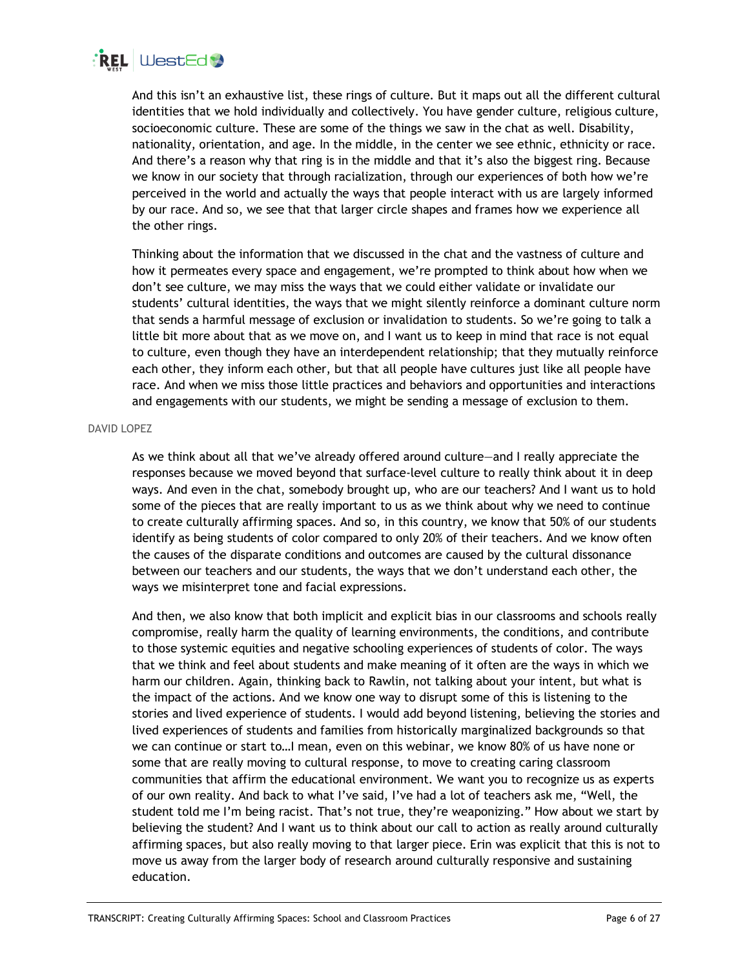

And this isn't an exhaustive list, these rings of culture. But it maps out all the different cultural identities that we hold individually and collectively. You have gender culture, religious culture, socioeconomic culture. These are some of the things we saw in the chat as well. Disability, nationality, orientation, and age. In the middle, in the center we see ethnic, ethnicity or race. And there's a reason why that ring is in the middle and that it's also the biggest ring. Because we know in our society that through racialization, through our experiences of both how we're perceived in the world and actually the ways that people interact with us are largely informed by our race. And so, we see that that larger circle shapes and frames how we experience all the other rings.

Thinking about the information that we discussed in the chat and the vastness of culture and how it permeates every space and engagement, we're prompted to think about how when we don't see culture, we may miss the ways that we could either validate or invalidate our students' cultural identities, the ways that we might silently reinforce a dominant culture norm that sends a harmful message of exclusion or invalidation to students. So we're going to talk a little bit more about that as we move on, and I want us to keep in mind that race is not equal to culture, even though they have an interdependent relationship; that they mutually reinforce each other, they inform each other, but that all people have cultures just like all people have race. And when we miss those little practices and behaviors and opportunities and interactions and engagements with our students, we might be sending a message of exclusion to them.

#### DAVID LOPEZ

As we think about all that we've already offered around culture—and I really appreciate the responses because we moved beyond that surface-level culture to really think about it in deep ways. And even in the chat, somebody brought up, who are our teachers? And I want us to hold some of the pieces that are really important to us as we think about why we need to continue to create culturally affirming spaces. And so, in this country, we know that 50% of our students identify as being students of color compared to only 20% of their teachers. And we know often the causes of the disparate conditions and outcomes are caused by the cultural dissonance between our teachers and our students, the ways that we don't understand each other, the ways we misinterpret tone and facial expressions.

And then, we also know that both implicit and explicit bias in our classrooms and schools really compromise, really harm the quality of learning environments, the conditions, and contribute to those systemic equities and negative schooling experiences of students of color. The ways that we think and feel about students and make meaning of it often are the ways in which we harm our children. Again, thinking back to Rawlin, not talking about your intent, but what is the impact of the actions. And we know one way to disrupt some of this is listening to the stories and lived experience of students. I would add beyond listening, believing the stories and lived experiences of students and families from historically marginalized backgrounds so that we can continue or start to…I mean, even on this webinar, we know 80% of us have none or some that are really moving to cultural response, to move to creating caring classroom communities that affirm the educational environment. We want you to recognize us as experts of our own reality. And back to what I've said, I've had a lot of teachers ask me, "Well, the student told me I'm being racist. That's not true, they're weaponizing." How about we start by believing the student? And I want us to think about our call to action as really around culturally affirming spaces, but also really moving to that larger piece. Erin was explicit that this is not to move us away from the larger body of research around culturally responsive and sustaining education.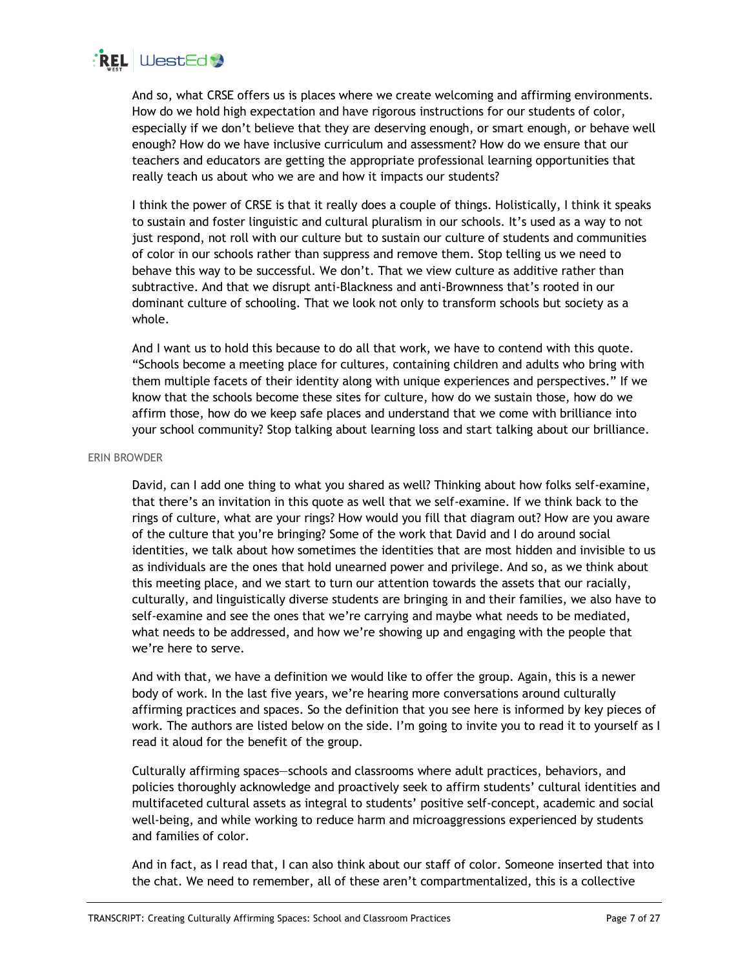

And so, what CRSE offers us is places where we create welcoming and affirming environments. How do we hold high expectation and have rigorous instructions for our students of color, especially if we don't believe that they are deserving enough, or smart enough, or behave well enough? How do we have inclusive curriculum and assessment? How do we ensure that our teachers and educators are getting the appropriate professional learning opportunities that really teach us about who we are and how it impacts our students?

I think the power of CRSE is that it really does a couple of things. Holistically, I think it speaks to sustain and foster linguistic and cultural pluralism in our schools. It's used as a way to not just respond, not roll with our culture but to sustain our culture of students and communities of color in our schools rather than suppress and remove them. Stop telling us we need to behave this way to be successful. We don't. That we view culture as additive rather than subtractive. And that we disrupt anti-Blackness and anti-Brownness that's rooted in our dominant culture of schooling. That we look not only to transform schools but society as a whole.

And I want us to hold this because to do all that work, we have to contend with this quote. "Schools become a meeting place for cultures, containing children and adults who bring with them multiple facets of their identity along with unique experiences and perspectives." If we know that the schools become these sites for culture, how do we sustain those, how do we affirm those, how do we keep safe places and understand that we come with brilliance into your school community? Stop talking about learning loss and start talking about our brilliance.

#### ERIN BROWDER

David, can I add one thing to what you shared as well? Thinking about how folks self-examine, that there's an invitation in this quote as well that we self-examine. If we think back to the rings of culture, what are your rings? How would you fill that diagram out? How are you aware of the culture that you're bringing? Some of the work that David and I do around social identities, we talk about how sometimes the identities that are most hidden and invisible to us as individuals are the ones that hold unearned power and privilege. And so, as we think about this meeting place, and we start to turn our attention towards the assets that our racially, culturally, and linguistically diverse students are bringing in and their families, we also have to self-examine and see the ones that we're carrying and maybe what needs to be mediated, what needs to be addressed, and how we're showing up and engaging with the people that we're here to serve.

And with that, we have a definition we would like to offer the group. Again, this is a newer body of work. In the last five years, we're hearing more conversations around culturally affirming practices and spaces. So the definition that you see here is informed by key pieces of work. The authors are listed below on the side. I'm going to invite you to read it to yourself as I read it aloud for the benefit of the group.

Culturally affirming spaces—schools and classrooms where adult practices, behaviors, and policies thoroughly acknowledge and proactively seek to affirm students' cultural identities and multifaceted cultural assets as integral to students' positive self-concept, academic and social well-being, and while working to reduce harm and microaggressions experienced by students and families of color.

And in fact, as I read that, I can also think about our staff of color. Someone inserted that into the chat. We need to remember, all of these aren't compartmentalized, this is a collective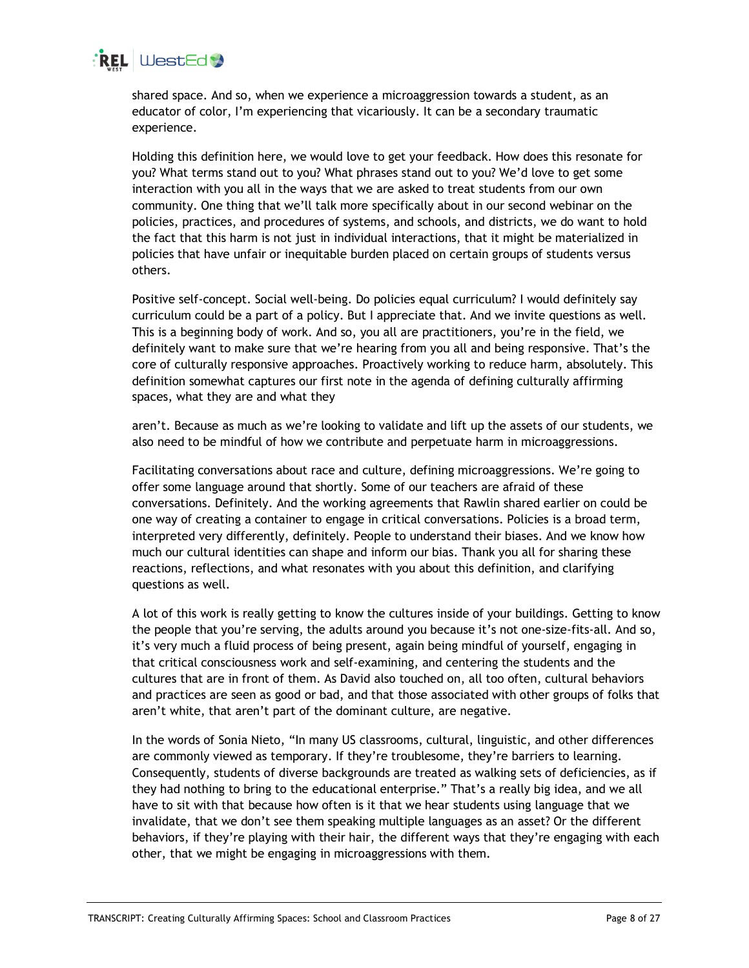

shared space. And so, when we experience a microaggression towards a student, as an educator of color, I'm experiencing that vicariously. It can be a secondary traumatic experience.

Holding this definition here, we would love to get your feedback. How does this resonate for you? What terms stand out to you? What phrases stand out to you? We'd love to get some interaction with you all in the ways that we are asked to treat students from our own community. One thing that we'll talk more specifically about in our second webinar on the policies, practices, and procedures of systems, and schools, and districts, we do want to hold the fact that this harm is not just in individual interactions, that it might be materialized in policies that have unfair or inequitable burden placed on certain groups of students versus others.

Positive self-concept. Social well-being. Do policies equal curriculum? I would definitely say curriculum could be a part of a policy. But I appreciate that. And we invite questions as well. This is a beginning body of work. And so, you all are practitioners, you're in the field, we definitely want to make sure that we're hearing from you all and being responsive. That's the core of culturally responsive approaches. Proactively working to reduce harm, absolutely. This definition somewhat captures our first note in the agenda of defining culturally affirming spaces, what they are and what they

aren't. Because as much as we're looking to validate and lift up the assets of our students, we also need to be mindful of how we contribute and perpetuate harm in microaggressions.

Facilitating conversations about race and culture, defining microaggressions. We're going to offer some language around that shortly. Some of our teachers are afraid of these conversations. Definitely. And the working agreements that Rawlin shared earlier on could be one way of creating a container to engage in critical conversations. Policies is a broad term, interpreted very differently, definitely. People to understand their biases. And we know how much our cultural identities can shape and inform our bias. Thank you all for sharing these reactions, reflections, and what resonates with you about this definition, and clarifying questions as well.

A lot of this work is really getting to know the cultures inside of your buildings. Getting to know the people that you're serving, the adults around you because it's not one-size-fits-all. And so, it's very much a fluid process of being present, again being mindful of yourself, engaging in that critical consciousness work and self-examining, and centering the students and the cultures that are in front of them. As David also touched on, all too often, cultural behaviors and practices are seen as good or bad, and that those associated with other groups of folks that aren't white, that aren't part of the dominant culture, are negative.

In the words of Sonia Nieto, "In many US classrooms, cultural, linguistic, and other differences are commonly viewed as temporary. If they're troublesome, they're barriers to learning. Consequently, students of diverse backgrounds are treated as walking sets of deficiencies, as if they had nothing to bring to the educational enterprise." That's a really big idea, and we all have to sit with that because how often is it that we hear students using language that we invalidate, that we don't see them speaking multiple languages as an asset? Or the different behaviors, if they're playing with their hair, the different ways that they're engaging with each other, that we might be engaging in microaggressions with them.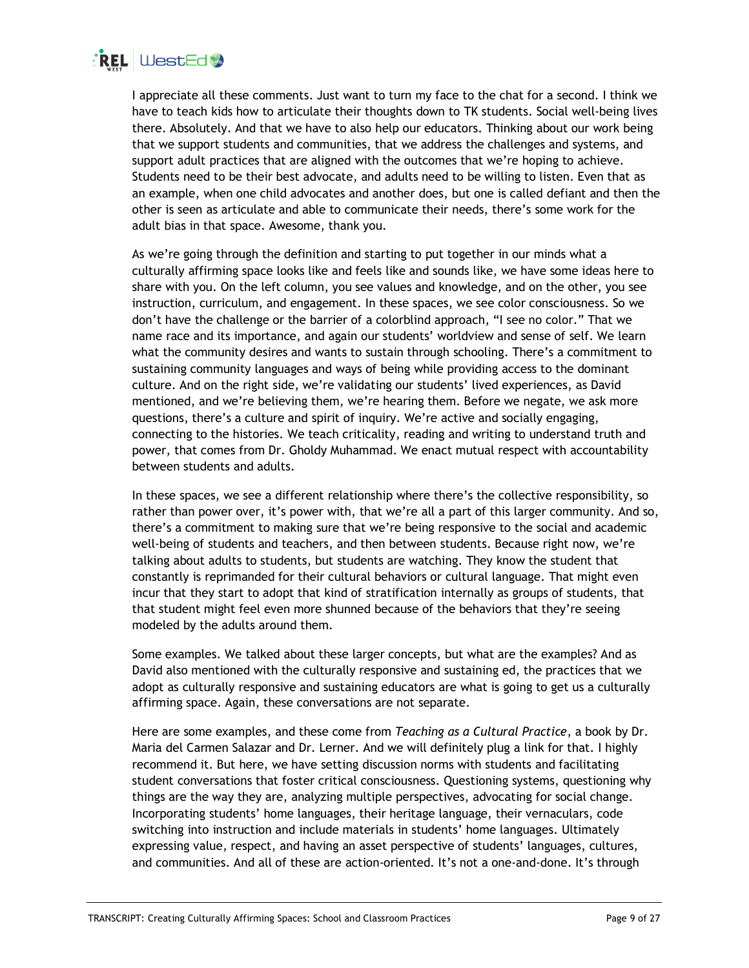

I appreciate all these comments. Just want to turn my face to the chat for a second. I think we have to teach kids how to articulate their thoughts down to TK students. Social well-being lives there. Absolutely. And that we have to also help our educators. Thinking about our work being that we support students and communities, that we address the challenges and systems, and support adult practices that are aligned with the outcomes that we're hoping to achieve. Students need to be their best advocate, and adults need to be willing to listen. Even that as an example, when one child advocates and another does, but one is called defiant and then the other is seen as articulate and able to communicate their needs, there's some work for the adult bias in that space. Awesome, thank you.

As we're going through the definition and starting to put together in our minds what a culturally affirming space looks like and feels like and sounds like, we have some ideas here to share with you. On the left column, you see values and knowledge, and on the other, you see instruction, curriculum, and engagement. In these spaces, we see color consciousness. So we don't have the challenge or the barrier of a colorblind approach, "I see no color." That we name race and its importance, and again our students' worldview and sense of self. We learn what the community desires and wants to sustain through schooling. There's a commitment to sustaining community languages and ways of being while providing access to the dominant culture. And on the right side, we're validating our students' lived experiences, as David mentioned, and we're believing them, we're hearing them. Before we negate, we ask more questions, there's a culture and spirit of inquiry. We're active and socially engaging, connecting to the histories. We teach criticality, reading and writing to understand truth and power, that comes from Dr. Gholdy Muhammad. We enact mutual respect with accountability between students and adults.

In these spaces, we see a different relationship where there's the collective responsibility, so rather than power over, it's power with, that we're all a part of this larger community. And so, there's a commitment to making sure that we're being responsive to the social and academic well-being of students and teachers, and then between students. Because right now, we're talking about adults to students, but students are watching. They know the student that constantly is reprimanded for their cultural behaviors or cultural language. That might even incur that they start to adopt that kind of stratification internally as groups of students, that that student might feel even more shunned because of the behaviors that they're seeing modeled by the adults around them.

Some examples. We talked about these larger concepts, but what are the examples? And as David also mentioned with the culturally responsive and sustaining ed, the practices that we adopt as culturally responsive and sustaining educators are what is going to get us a culturally affirming space. Again, these conversations are not separate.

Here are some examples, and these come from *Teaching as a Cultural Practice*, a book by Dr. Maria del Carmen Salazar and Dr. Lerner. And we will definitely plug a link for that. I highly recommend it. But here, we have setting discussion norms with students and facilitating student conversations that foster critical consciousness. Questioning systems, questioning why things are the way they are, analyzing multiple perspectives, advocating for social change. Incorporating students' home languages, their heritage language, their vernaculars, code switching into instruction and include materials in students' home languages. Ultimately expressing value, respect, and having an asset perspective of students' languages, cultures, and communities. And all of these are action-oriented. It's not a one-and-done. It's through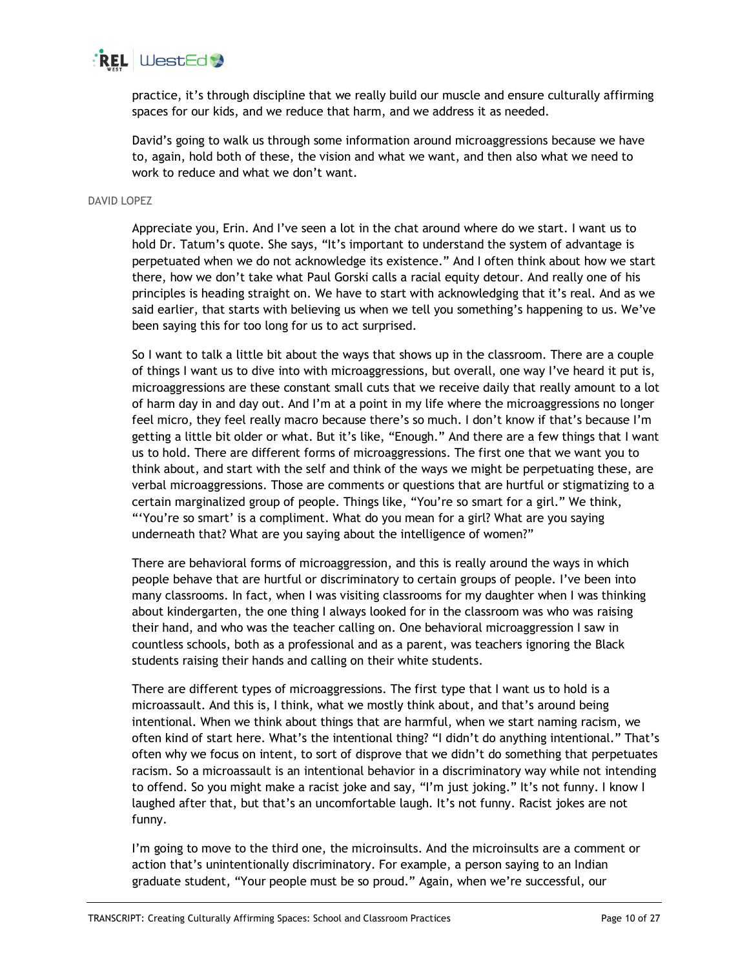

practice, it's through discipline that we really build our muscle and ensure culturally affirming spaces for our kids, and we reduce that harm, and we address it as needed.

David's going to walk us through some information around microaggressions because we have to, again, hold both of these, the vision and what we want, and then also what we need to work to reduce and what we don't want.

## DAVID LOPEZ

Appreciate you, Erin. And I've seen a lot in the chat around where do we start. I want us to hold Dr. Tatum's quote. She says, "It's important to understand the system of advantage is perpetuated when we do not acknowledge its existence." And I often think about how we start there, how we don't take what Paul Gorski calls a racial equity detour. And really one of his principles is heading straight on. We have to start with acknowledging that it's real. And as we said earlier, that starts with believing us when we tell you something's happening to us. We've been saying this for too long for us to act surprised.

So I want to talk a little bit about the ways that shows up in the classroom. There are a couple of things I want us to dive into with microaggressions, but overall, one way I've heard it put is, microaggressions are these constant small cuts that we receive daily that really amount to a lot of harm day in and day out. And I'm at a point in my life where the microaggressions no longer feel micro, they feel really macro because there's so much. I don't know if that's because I'm getting a little bit older or what. But it's like, "Enough." And there are a few things that I want us to hold. There are different forms of microaggressions. The first one that we want you to think about, and start with the self and think of the ways we might be perpetuating these, are verbal microaggressions. Those are comments or questions that are hurtful or stigmatizing to a certain marginalized group of people. Things like, "You're so smart for a girl." We think, "'You're so smart' is a compliment. What do you mean for a girl? What are you saying underneath that? What are you saying about the intelligence of women?"

There are behavioral forms of microaggression, and this is really around the ways in which people behave that are hurtful or discriminatory to certain groups of people. I've been into many classrooms. In fact, when I was visiting classrooms for my daughter when I was thinking about kindergarten, the one thing I always looked for in the classroom was who was raising their hand, and who was the teacher calling on. One behavioral microaggression I saw in countless schools, both as a professional and as a parent, was teachers ignoring the Black students raising their hands and calling on their white students.

There are different types of microaggressions. The first type that I want us to hold is a microassault. And this is, I think, what we mostly think about, and that's around being intentional. When we think about things that are harmful, when we start naming racism, we often kind of start here. What's the intentional thing? "I didn't do anything intentional." That's often why we focus on intent, to sort of disprove that we didn't do something that perpetuates racism. So a microassault is an intentional behavior in a discriminatory way while not intending to offend. So you might make a racist joke and say, "I'm just joking." It's not funny. I know I laughed after that, but that's an uncomfortable laugh. It's not funny. Racist jokes are not funny.

I'm going to move to the third one, the microinsults. And the microinsults are a comment or action that's unintentionally discriminatory. For example, a person saying to an Indian graduate student, "Your people must be so proud." Again, when we're successful, our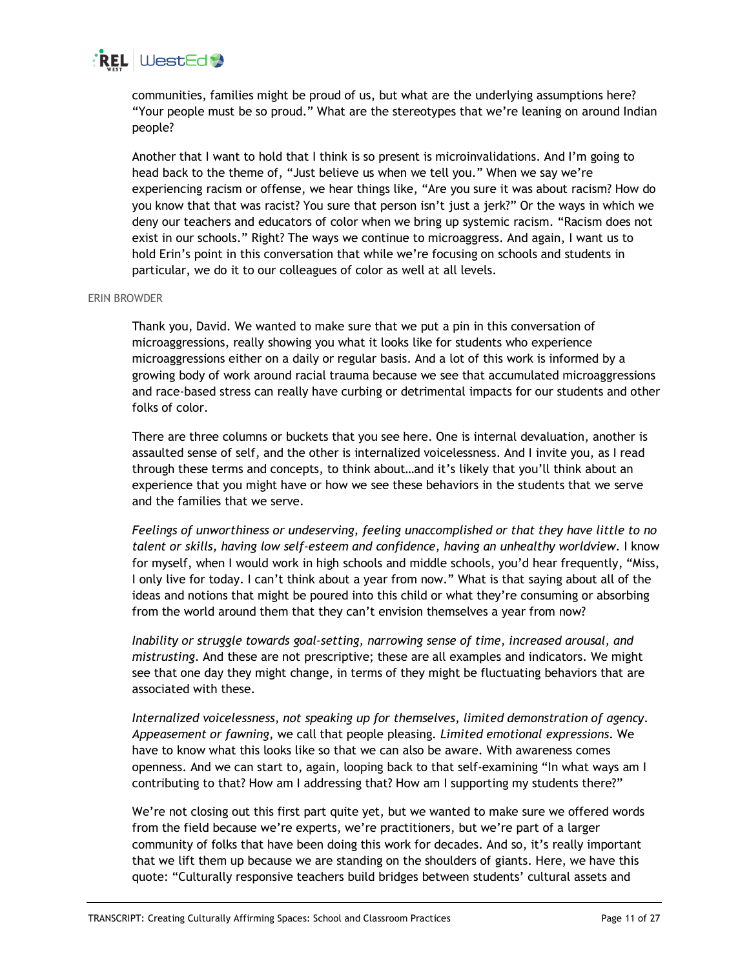

communities, families might be proud of us, but what are the underlying assumptions here? "Your people must be so proud." What are the stereotypes that we're leaning on around Indian people?

Another that I want to hold that I think is so present is microinvalidations. And I'm going to head back to the theme of, "Just believe us when we tell you." When we say we're experiencing racism or offense, we hear things like, "Are you sure it was about racism? How do you know that that was racist? You sure that person isn't just a jerk?" Or the ways in which we deny our teachers and educators of color when we bring up systemic racism. "Racism does not exist in our schools." Right? The ways we continue to microaggress. And again, I want us to hold Erin's point in this conversation that while we're focusing on schools and students in particular, we do it to our colleagues of color as well at all levels.

#### ERIN BROWDER

Thank you, David. We wanted to make sure that we put a pin in this conversation of microaggressions, really showing you what it looks like for students who experience microaggressions either on a daily or regular basis. And a lot of this work is informed by a growing body of work around racial trauma because we see that accumulated microaggressions and race-based stress can really have curbing or detrimental impacts for our students and other folks of color.

There are three columns or buckets that you see here. One is internal devaluation, another is assaulted sense of self, and the other is internalized voicelessness. And I invite you, as I read through these terms and concepts, to think about…and it's likely that you'll think about an experience that you might have or how we see these behaviors in the students that we serve and the families that we serve.

*Feelings of unworthiness or undeserving, feeling unaccomplished or that they have little to no talent or skills, having low self-esteem and confidence, having an unhealthy worldview*. I know for myself, when I would work in high schools and middle schools, you'd hear frequently, "Miss, I only live for today. I can't think about a year from now." What is that saying about all of the ideas and notions that might be poured into this child or what they're consuming or absorbing from the world around them that they can't envision themselves a year from now?

*Inability or struggle towards goal-setting, narrowing sense of time, increased arousal, and mistrusting*. And these are not prescriptive; these are all examples and indicators. We might see that one day they might change, in terms of they might be fluctuating behaviors that are associated with these.

*Internalized voicelessness, not speaking up for themselves, limited demonstration of agency*. *Appeasement or fawning*, we call that people pleasing. *Limited emotional expressions*. We have to know what this looks like so that we can also be aware. With awareness comes openness. And we can start to, again, looping back to that self-examining "In what ways am I contributing to that? How am I addressing that? How am I supporting my students there?"

We're not closing out this first part quite yet, but we wanted to make sure we offered words from the field because we're experts, we're practitioners, but we're part of a larger community of folks that have been doing this work for decades. And so, it's really important that we lift them up because we are standing on the shoulders of giants. Here, we have this quote: "Culturally responsive teachers build bridges between students' cultural assets and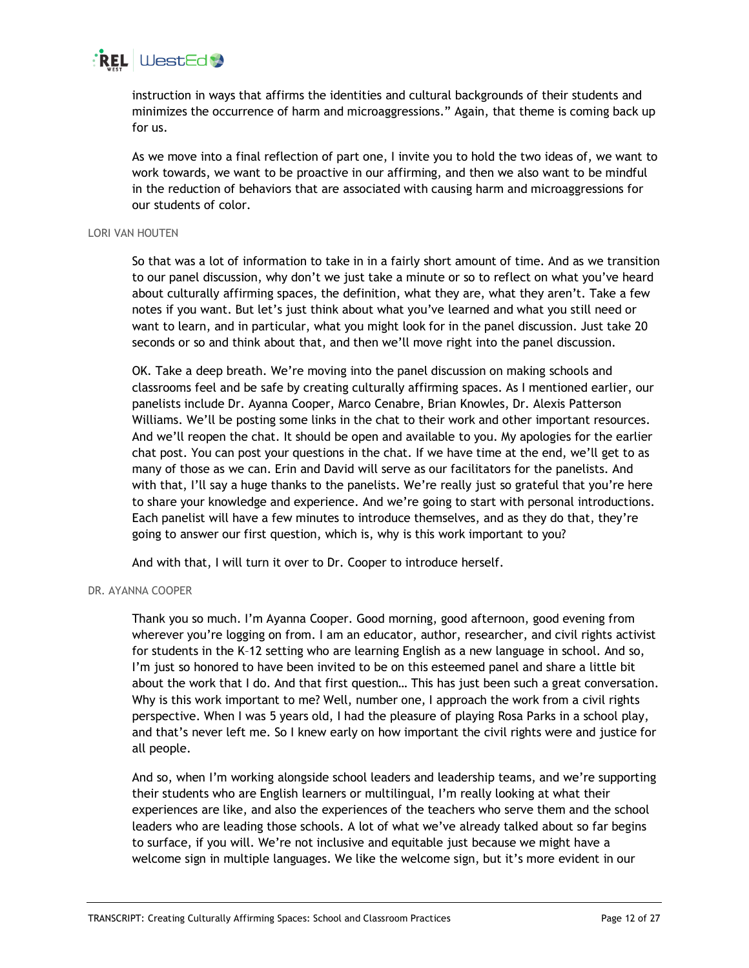

instruction in ways that affirms the identities and cultural backgrounds of their students and minimizes the occurrence of harm and microaggressions." Again, that theme is coming back up for us.

As we move into a final reflection of part one, I invite you to hold the two ideas of, we want to work towards, we want to be proactive in our affirming, and then we also want to be mindful in the reduction of behaviors that are associated with causing harm and microaggressions for our students of color.

#### LORI VAN HOUTEN

So that was a lot of information to take in in a fairly short amount of time. And as we transition to our panel discussion, why don't we just take a minute or so to reflect on what you've heard about culturally affirming spaces, the definition, what they are, what they aren't. Take a few notes if you want. But let's just think about what you've learned and what you still need or want to learn, and in particular, what you might look for in the panel discussion. Just take 20 seconds or so and think about that, and then we'll move right into the panel discussion.

OK. Take a deep breath. We're moving into the panel discussion on making schools and classrooms feel and be safe by creating culturally affirming spaces. As I mentioned earlier, our panelists include Dr. Ayanna Cooper, Marco Cenabre, Brian Knowles, Dr. Alexis Patterson Williams. We'll be posting some links in the chat to their work and other important resources. And we'll reopen the chat. It should be open and available to you. My apologies for the earlier chat post. You can post your questions in the chat. If we have time at the end, we'll get to as many of those as we can. Erin and David will serve as our facilitators for the panelists. And with that, I'll say a huge thanks to the panelists. We're really just so grateful that you're here to share your knowledge and experience. And we're going to start with personal introductions. Each panelist will have a few minutes to introduce themselves, and as they do that, they're going to answer our first question, which is, why is this work important to you?

And with that, I will turn it over to Dr. Cooper to introduce herself.

## DR. AYANNA COOPER

Thank you so much. I'm Ayanna Cooper. Good morning, good afternoon, good evening from wherever you're logging on from. I am an educator, author, researcher, and civil rights activist for students in the K–12 setting who are learning English as a new language in school. And so, I'm just so honored to have been invited to be on this esteemed panel and share a little bit about the work that I do. And that first question… This has just been such a great conversation. Why is this work important to me? Well, number one, I approach the work from a civil rights perspective. When I was 5 years old, I had the pleasure of playing Rosa Parks in a school play, and that's never left me. So I knew early on how important the civil rights were and justice for all people.

And so, when I'm working alongside school leaders and leadership teams, and we're supporting their students who are English learners or multilingual, I'm really looking at what their experiences are like, and also the experiences of the teachers who serve them and the school leaders who are leading those schools. A lot of what we've already talked about so far begins to surface, if you will. We're not inclusive and equitable just because we might have a welcome sign in multiple languages. We like the welcome sign, but it's more evident in our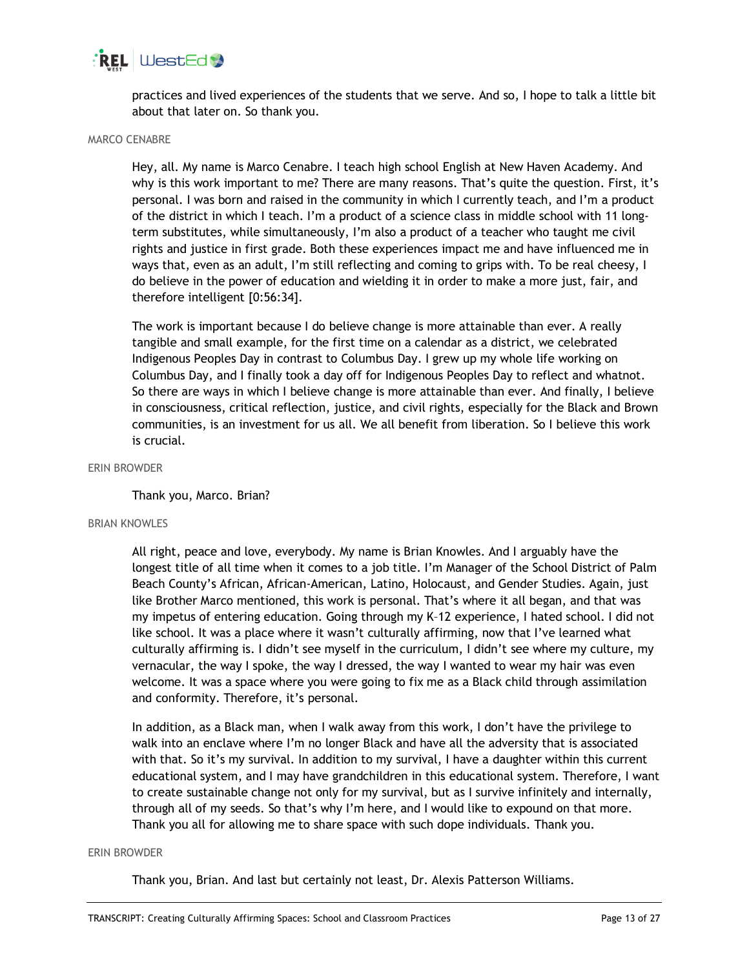

practices and lived experiences of the students that we serve. And so, I hope to talk a little bit about that later on. So thank you.

#### MARCO CENABRE

Hey, all. My name is Marco Cenabre. I teach high school English at New Haven Academy. And why is this work important to me? There are many reasons. That's quite the question. First, it's personal. I was born and raised in the community in which I currently teach, and I'm a product of the district in which I teach. I'm a product of a science class in middle school with 11 longterm substitutes, while simultaneously, I'm also a product of a teacher who taught me civil rights and justice in first grade. Both these experiences impact me and have influenced me in ways that, even as an adult, I'm still reflecting and coming to grips with. To be real cheesy, I do believe in the power of education and wielding it in order to make a more just, fair, and therefore intelligent [0:56:34].

The work is important because I do believe change is more attainable than ever. A really tangible and small example, for the first time on a calendar as a district, we celebrated Indigenous Peoples Day in contrast to Columbus Day. I grew up my whole life working on Columbus Day, and I finally took a day off for Indigenous Peoples Day to reflect and whatnot. So there are ways in which I believe change is more attainable than ever. And finally, I believe in consciousness, critical reflection, justice, and civil rights, especially for the Black and Brown communities, is an investment for us all. We all benefit from liberation. So I believe this work is crucial.

#### ERIN BROWDER

Thank you, Marco. Brian?

#### BRIAN KNOWLES

All right, peace and love, everybody. My name is Brian Knowles. And I arguably have the longest title of all time when it comes to a job title. I'm Manager of the School District of Palm Beach County's African, African-American, Latino, Holocaust, and Gender Studies. Again, just like Brother Marco mentioned, this work is personal. That's where it all began, and that was my impetus of entering education. Going through my K–12 experience, I hated school. I did not like school. It was a place where it wasn't culturally affirming, now that I've learned what culturally affirming is. I didn't see myself in the curriculum, I didn't see where my culture, my vernacular, the way I spoke, the way I dressed, the way I wanted to wear my hair was even welcome. It was a space where you were going to fix me as a Black child through assimilation and conformity. Therefore, it's personal.

In addition, as a Black man, when I walk away from this work, I don't have the privilege to walk into an enclave where I'm no longer Black and have all the adversity that is associated with that. So it's my survival. In addition to my survival, I have a daughter within this current educational system, and I may have grandchildren in this educational system. Therefore, I want to create sustainable change not only for my survival, but as I survive infinitely and internally, through all of my seeds. So that's why I'm here, and I would like to expound on that more. Thank you all for allowing me to share space with such dope individuals. Thank you.

#### ERIN BROWDER

Thank you, Brian. And last but certainly not least, Dr. Alexis Patterson Williams.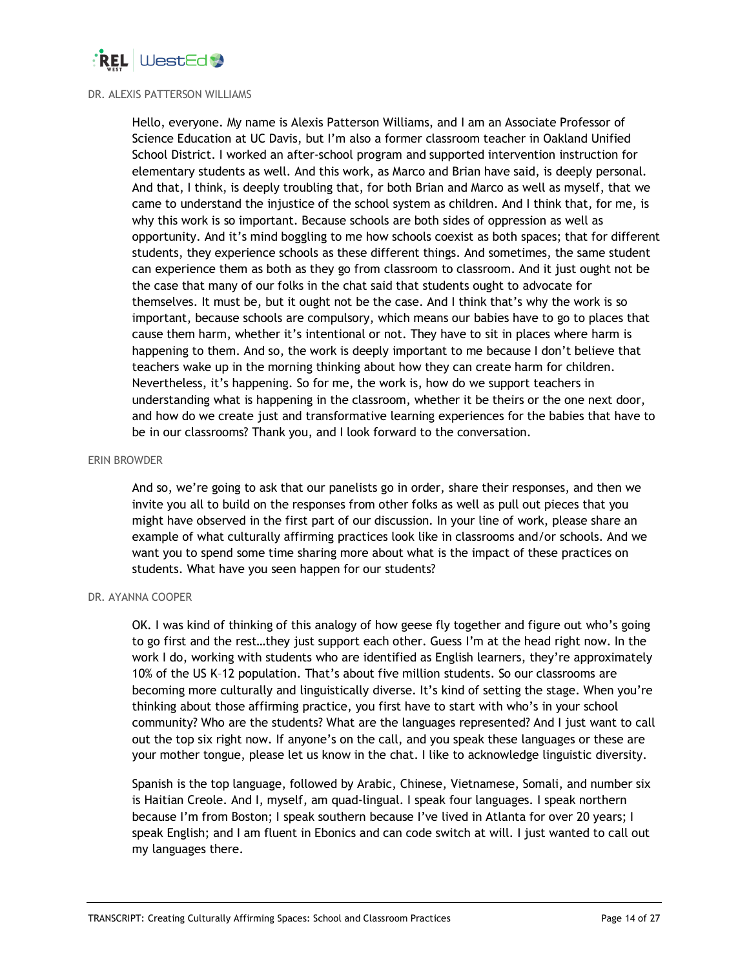

#### DR. ALEXIS PATTERSON WILLIAMS

Hello, everyone. My name is Alexis Patterson Williams, and I am an Associate Professor of Science Education at UC Davis, but I'm also a former classroom teacher in Oakland Unified School District. I worked an after-school program and supported intervention instruction for elementary students as well. And this work, as Marco and Brian have said, is deeply personal. And that, I think, is deeply troubling that, for both Brian and Marco as well as myself, that we came to understand the injustice of the school system as children. And I think that, for me, is why this work is so important. Because schools are both sides of oppression as well as opportunity. And it's mind boggling to me how schools coexist as both spaces; that for different students, they experience schools as these different things. And sometimes, the same student can experience them as both as they go from classroom to classroom. And it just ought not be the case that many of our folks in the chat said that students ought to advocate for themselves. It must be, but it ought not be the case. And I think that's why the work is so important, because schools are compulsory, which means our babies have to go to places that cause them harm, whether it's intentional or not. They have to sit in places where harm is happening to them. And so, the work is deeply important to me because I don't believe that teachers wake up in the morning thinking about how they can create harm for children. Nevertheless, it's happening. So for me, the work is, how do we support teachers in understanding what is happening in the classroom, whether it be theirs or the one next door, and how do we create just and transformative learning experiences for the babies that have to be in our classrooms? Thank you, and I look forward to the conversation.

#### ERIN BROWDER

And so, we're going to ask that our panelists go in order, share their responses, and then we invite you all to build on the responses from other folks as well as pull out pieces that you might have observed in the first part of our discussion. In your line of work, please share an example of what culturally affirming practices look like in classrooms and/or schools. And we want you to spend some time sharing more about what is the impact of these practices on students. What have you seen happen for our students?

#### DR. AYANNA COOPER

OK. I was kind of thinking of this analogy of how geese fly together and figure out who's going to go first and the rest…they just support each other. Guess I'm at the head right now. In the work I do, working with students who are identified as English learners, they're approximately 10% of the US K–12 population. That's about five million students. So our classrooms are becoming more culturally and linguistically diverse. It's kind of setting the stage. When you're thinking about those affirming practice, you first have to start with who's in your school community? Who are the students? What are the languages represented? And I just want to call out the top six right now. If anyone's on the call, and you speak these languages or these are your mother tongue, please let us know in the chat. I like to acknowledge linguistic diversity.

Spanish is the top language, followed by Arabic, Chinese, Vietnamese, Somali, and number six is Haitian Creole. And I, myself, am quad-lingual. I speak four languages. I speak northern because I'm from Boston; I speak southern because I've lived in Atlanta for over 20 years; I speak English; and I am fluent in Ebonics and can code switch at will. I just wanted to call out my languages there.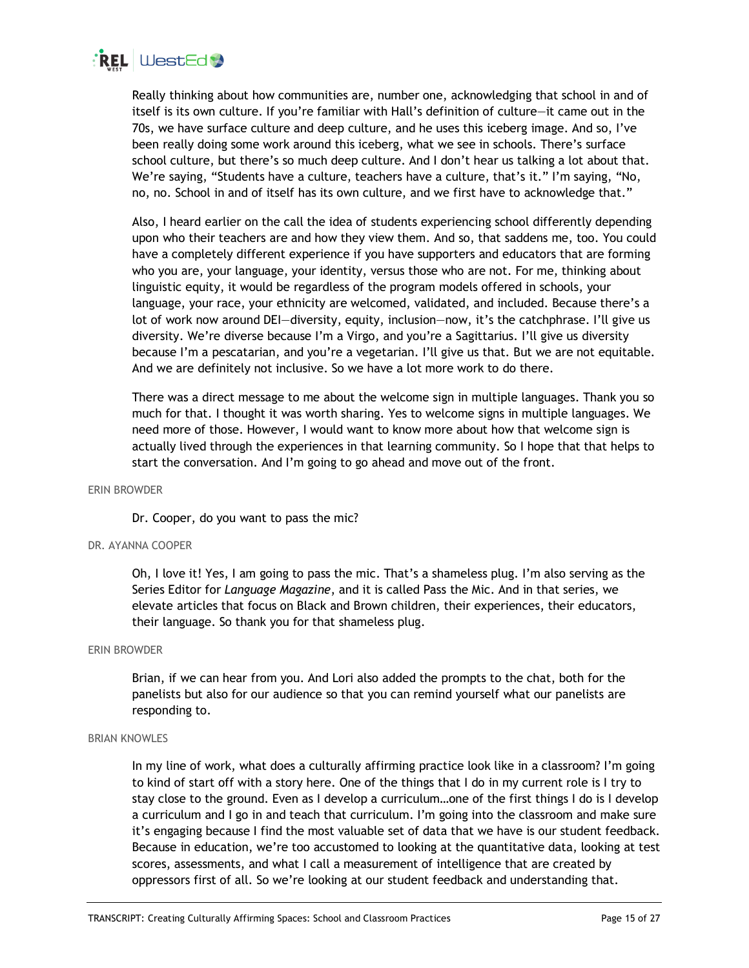

Really thinking about how communities are, number one, acknowledging that school in and of itself is its own culture. If you're familiar with Hall's definition of culture—it came out in the 70s, we have surface culture and deep culture, and he uses this iceberg image. And so, I've been really doing some work around this iceberg, what we see in schools. There's surface school culture, but there's so much deep culture. And I don't hear us talking a lot about that. We're saying, "Students have a culture, teachers have a culture, that's it." I'm saying, "No, no, no. School in and of itself has its own culture, and we first have to acknowledge that."

Also, I heard earlier on the call the idea of students experiencing school differently depending upon who their teachers are and how they view them. And so, that saddens me, too. You could have a completely different experience if you have supporters and educators that are forming who you are, your language, your identity, versus those who are not. For me, thinking about linguistic equity, it would be regardless of the program models offered in schools, your language, your race, your ethnicity are welcomed, validated, and included. Because there's a lot of work now around DEI—diversity, equity, inclusion—now, it's the catchphrase. I'll give us diversity. We're diverse because I'm a Virgo, and you're a Sagittarius. I'll give us diversity because I'm a pescatarian, and you're a vegetarian. I'll give us that. But we are not equitable. And we are definitely not inclusive. So we have a lot more work to do there.

There was a direct message to me about the welcome sign in multiple languages. Thank you so much for that. I thought it was worth sharing. Yes to welcome signs in multiple languages. We need more of those. However, I would want to know more about how that welcome sign is actually lived through the experiences in that learning community. So I hope that that helps to start the conversation. And I'm going to go ahead and move out of the front.

#### ERIN BROWDER

Dr. Cooper, do you want to pass the mic?

## DR. AYANNA COOPER

Oh, I love it! Yes, I am going to pass the mic. That's a shameless plug. I'm also serving as the Series Editor for *Language Magazine*, and it is called Pass the Mic. And in that series, we elevate articles that focus on Black and Brown children, their experiences, their educators, their language. So thank you for that shameless plug.

## ERIN BROWDER

Brian, if we can hear from you. And Lori also added the prompts to the chat, both for the panelists but also for our audience so that you can remind yourself what our panelists are responding to.

#### BRIAN KNOWLES

In my line of work, what does a culturally affirming practice look like in a classroom? I'm going to kind of start off with a story here. One of the things that I do in my current role is I try to stay close to the ground. Even as I develop a curriculum…one of the first things I do is I develop a curriculum and I go in and teach that curriculum. I'm going into the classroom and make sure it's engaging because I find the most valuable set of data that we have is our student feedback. Because in education, we're too accustomed to looking at the quantitative data, looking at test scores, assessments, and what I call a measurement of intelligence that are created by oppressors first of all. So we're looking at our student feedback and understanding that.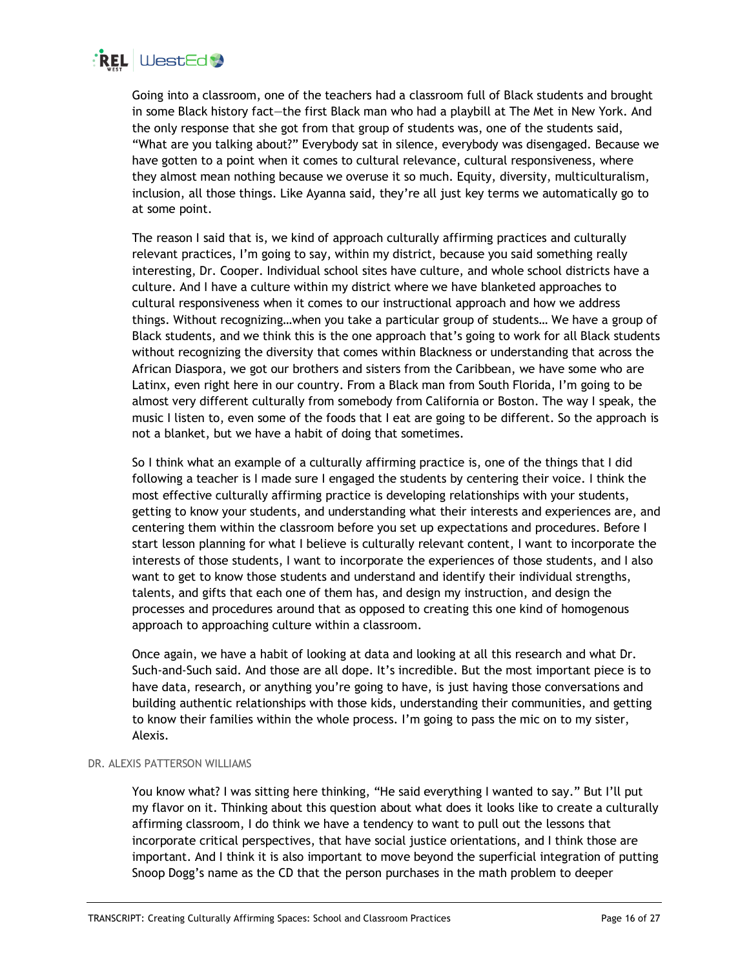

Going into a classroom, one of the teachers had a classroom full of Black students and brought in some Black history fact—the first Black man who had a playbill at The Met in New York. And the only response that she got from that group of students was, one of the students said, "What are you talking about?" Everybody sat in silence, everybody was disengaged. Because we have gotten to a point when it comes to cultural relevance, cultural responsiveness, where they almost mean nothing because we overuse it so much. Equity, diversity, multiculturalism, inclusion, all those things. Like Ayanna said, they're all just key terms we automatically go to at some point.

The reason I said that is, we kind of approach culturally affirming practices and culturally relevant practices, I'm going to say, within my district, because you said something really interesting, Dr. Cooper. Individual school sites have culture, and whole school districts have a culture. And I have a culture within my district where we have blanketed approaches to cultural responsiveness when it comes to our instructional approach and how we address things. Without recognizing…when you take a particular group of students… We have a group of Black students, and we think this is the one approach that's going to work for all Black students without recognizing the diversity that comes within Blackness or understanding that across the African Diaspora, we got our brothers and sisters from the Caribbean, we have some who are Latinx, even right here in our country. From a Black man from South Florida, I'm going to be almost very different culturally from somebody from California or Boston. The way I speak, the music I listen to, even some of the foods that I eat are going to be different. So the approach is not a blanket, but we have a habit of doing that sometimes.

So I think what an example of a culturally affirming practice is, one of the things that I did following a teacher is I made sure I engaged the students by centering their voice. I think the most effective culturally affirming practice is developing relationships with your students, getting to know your students, and understanding what their interests and experiences are, and centering them within the classroom before you set up expectations and procedures. Before I start lesson planning for what I believe is culturally relevant content, I want to incorporate the interests of those students, I want to incorporate the experiences of those students, and I also want to get to know those students and understand and identify their individual strengths, talents, and gifts that each one of them has, and design my instruction, and design the processes and procedures around that as opposed to creating this one kind of homogenous approach to approaching culture within a classroom.

Once again, we have a habit of looking at data and looking at all this research and what Dr. Such-and-Such said. And those are all dope. It's incredible. But the most important piece is to have data, research, or anything you're going to have, is just having those conversations and building authentic relationships with those kids, understanding their communities, and getting to know their families within the whole process. I'm going to pass the mic on to my sister, Alexis.

## DR. ALEXIS PATTERSON WILLIAMS

You know what? I was sitting here thinking, "He said everything I wanted to say." But I'll put my flavor on it. Thinking about this question about what does it looks like to create a culturally affirming classroom, I do think we have a tendency to want to pull out the lessons that incorporate critical perspectives, that have social justice orientations, and I think those are important. And I think it is also important to move beyond the superficial integration of putting Snoop Dogg's name as the CD that the person purchases in the math problem to deeper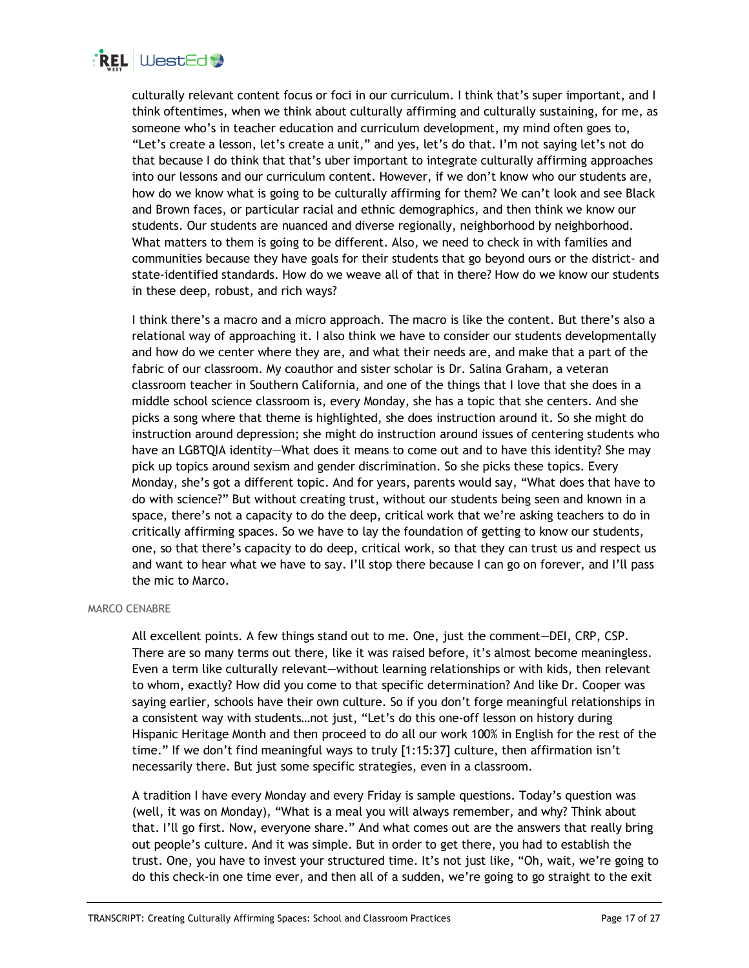

culturally relevant content focus or foci in our curriculum. I think that's super important, and I think oftentimes, when we think about culturally affirming and culturally sustaining, for me, as someone who's in teacher education and curriculum development, my mind often goes to, "Let's create a lesson, let's create a unit," and yes, let's do that. I'm not saying let's not do that because I do think that that's uber important to integrate culturally affirming approaches into our lessons and our curriculum content. However, if we don't know who our students are, how do we know what is going to be culturally affirming for them? We can't look and see Black and Brown faces, or particular racial and ethnic demographics, and then think we know our students. Our students are nuanced and diverse regionally, neighborhood by neighborhood. What matters to them is going to be different. Also, we need to check in with families and communities because they have goals for their students that go beyond ours or the district- and state-identified standards. How do we weave all of that in there? How do we know our students in these deep, robust, and rich ways?

I think there's a macro and a micro approach. The macro is like the content. But there's also a relational way of approaching it. I also think we have to consider our students developmentally and how do we center where they are, and what their needs are, and make that a part of the fabric of our classroom. My coauthor and sister scholar is Dr. Salina Graham, a veteran classroom teacher in Southern California, and one of the things that I love that she does in a middle school science classroom is, every Monday, she has a topic that she centers. And she picks a song where that theme is highlighted, she does instruction around it. So she might do instruction around depression; she might do instruction around issues of centering students who have an LGBTQIA identity—What does it means to come out and to have this identity? She may pick up topics around sexism and gender discrimination. So she picks these topics. Every Monday, she's got a different topic. And for years, parents would say, "What does that have to do with science?" But without creating trust, without our students being seen and known in a space, there's not a capacity to do the deep, critical work that we're asking teachers to do in critically affirming spaces. So we have to lay the foundation of getting to know our students, one, so that there's capacity to do deep, critical work, so that they can trust us and respect us and want to hear what we have to say. I'll stop there because I can go on forever, and I'll pass the mic to Marco.

## MARCO CENABRE

All excellent points. A few things stand out to me. One, just the comment—DEI, CRP, CSP. There are so many terms out there, like it was raised before, it's almost become meaningless. Even a term like culturally relevant—without learning relationships or with kids, then relevant to whom, exactly? How did you come to that specific determination? And like Dr. Cooper was saying earlier, schools have their own culture. So if you don't forge meaningful relationships in a consistent way with students…not just, "Let's do this one-off lesson on history during Hispanic Heritage Month and then proceed to do all our work 100% in English for the rest of the time." If we don't find meaningful ways to truly [1:15:37] culture, then affirmation isn't necessarily there. But just some specific strategies, even in a classroom.

A tradition I have every Monday and every Friday is sample questions. Today's question was (well, it was on Monday), "What is a meal you will always remember, and why? Think about that. I'll go first. Now, everyone share." And what comes out are the answers that really bring out people's culture. And it was simple. But in order to get there, you had to establish the trust. One, you have to invest your structured time. It's not just like, "Oh, wait, we're going to do this check-in one time ever, and then all of a sudden, we're going to go straight to the exit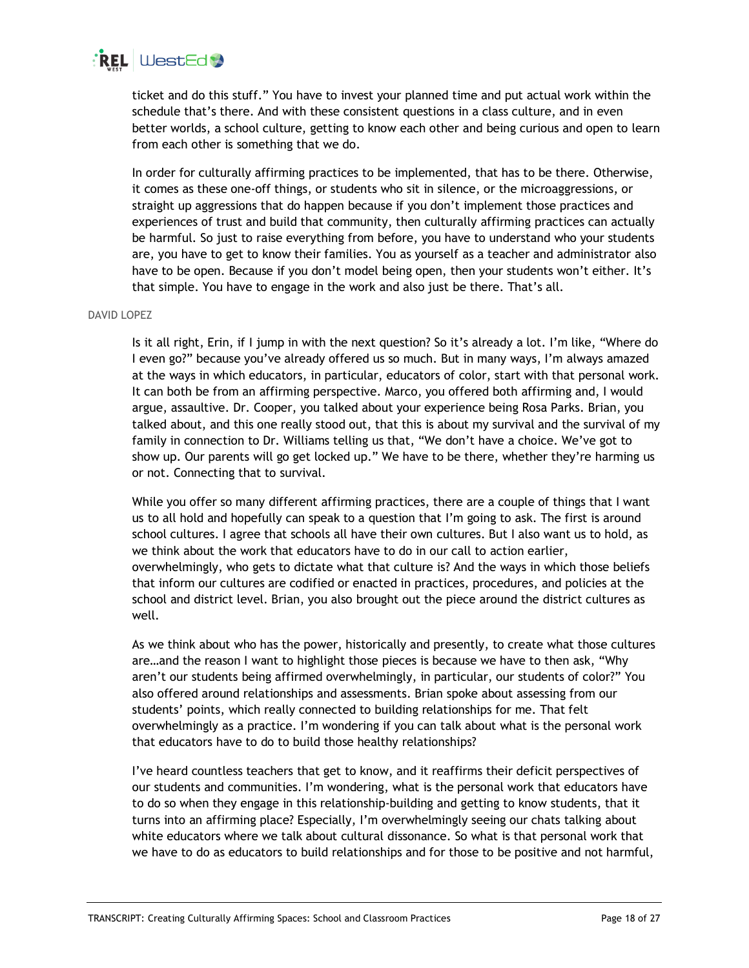

ticket and do this stuff." You have to invest your planned time and put actual work within the schedule that's there. And with these consistent questions in a class culture, and in even better worlds, a school culture, getting to know each other and being curious and open to learn from each other is something that we do.

In order for culturally affirming practices to be implemented, that has to be there. Otherwise, it comes as these one-off things, or students who sit in silence, or the microaggressions, or straight up aggressions that do happen because if you don't implement those practices and experiences of trust and build that community, then culturally affirming practices can actually be harmful. So just to raise everything from before, you have to understand who your students are, you have to get to know their families. You as yourself as a teacher and administrator also have to be open. Because if you don't model being open, then your students won't either. It's that simple. You have to engage in the work and also just be there. That's all.

#### DAVID LOPEZ

Is it all right, Erin, if I jump in with the next question? So it's already a lot. I'm like, "Where do I even go?" because you've already offered us so much. But in many ways, I'm always amazed at the ways in which educators, in particular, educators of color, start with that personal work. It can both be from an affirming perspective. Marco, you offered both affirming and, I would argue, assaultive. Dr. Cooper, you talked about your experience being Rosa Parks. Brian, you talked about, and this one really stood out, that this is about my survival and the survival of my family in connection to Dr. Williams telling us that, "We don't have a choice. We've got to show up. Our parents will go get locked up." We have to be there, whether they're harming us or not. Connecting that to survival.

While you offer so many different affirming practices, there are a couple of things that I want us to all hold and hopefully can speak to a question that I'm going to ask. The first is around school cultures. I agree that schools all have their own cultures. But I also want us to hold, as we think about the work that educators have to do in our call to action earlier, overwhelmingly, who gets to dictate what that culture is? And the ways in which those beliefs that inform our cultures are codified or enacted in practices, procedures, and policies at the school and district level. Brian, you also brought out the piece around the district cultures as well.

As we think about who has the power, historically and presently, to create what those cultures are…and the reason I want to highlight those pieces is because we have to then ask, "Why aren't our students being affirmed overwhelmingly, in particular, our students of color?" You also offered around relationships and assessments. Brian spoke about assessing from our students' points, which really connected to building relationships for me. That felt overwhelmingly as a practice. I'm wondering if you can talk about what is the personal work that educators have to do to build those healthy relationships?

I've heard countless teachers that get to know, and it reaffirms their deficit perspectives of our students and communities. I'm wondering, what is the personal work that educators have to do so when they engage in this relationship-building and getting to know students, that it turns into an affirming place? Especially, I'm overwhelmingly seeing our chats talking about white educators where we talk about cultural dissonance. So what is that personal work that we have to do as educators to build relationships and for those to be positive and not harmful,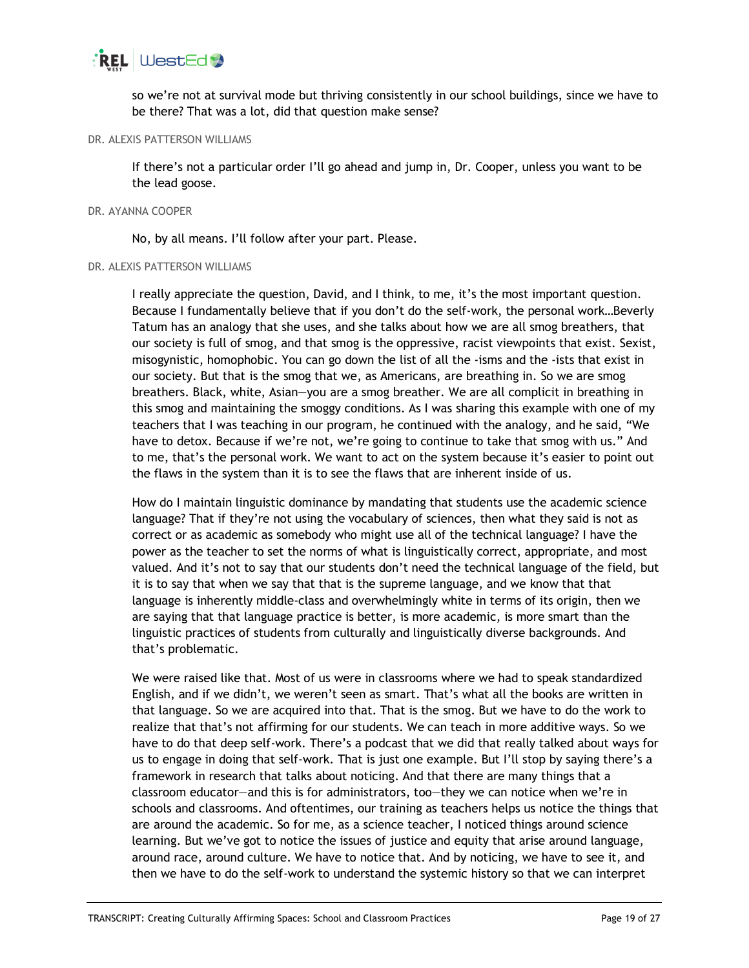

so we're not at survival mode but thriving consistently in our school buildings, since we have to be there? That was a lot, did that question make sense?

#### DR. ALEXIS PATTERSON WILLIAMS

If there's not a particular order I'll go ahead and jump in, Dr. Cooper, unless you want to be the lead goose.

#### DR. AYANNA COOPER

No, by all means. I'll follow after your part. Please.

#### DR. ALEXIS PATTERSON WILLIAMS

I really appreciate the question, David, and I think, to me, it's the most important question. Because I fundamentally believe that if you don't do the self-work, the personal work…Beverly Tatum has an analogy that she uses, and she talks about how we are all smog breathers, that our society is full of smog, and that smog is the oppressive, racist viewpoints that exist. Sexist, misogynistic, homophobic. You can go down the list of all the -isms and the -ists that exist in our society. But that is the smog that we, as Americans, are breathing in. So we are smog breathers. Black, white, Asian—you are a smog breather. We are all complicit in breathing in this smog and maintaining the smoggy conditions. As I was sharing this example with one of my teachers that I was teaching in our program, he continued with the analogy, and he said, "We have to detox. Because if we're not, we're going to continue to take that smog with us." And to me, that's the personal work. We want to act on the system because it's easier to point out the flaws in the system than it is to see the flaws that are inherent inside of us.

How do I maintain linguistic dominance by mandating that students use the academic science language? That if they're not using the vocabulary of sciences, then what they said is not as correct or as academic as somebody who might use all of the technical language? I have the power as the teacher to set the norms of what is linguistically correct, appropriate, and most valued. And it's not to say that our students don't need the technical language of the field, but it is to say that when we say that that is the supreme language, and we know that that language is inherently middle-class and overwhelmingly white in terms of its origin, then we are saying that that language practice is better, is more academic, is more smart than the linguistic practices of students from culturally and linguistically diverse backgrounds. And that's problematic.

We were raised like that. Most of us were in classrooms where we had to speak standardized English, and if we didn't, we weren't seen as smart. That's what all the books are written in that language. So we are acquired into that. That is the smog. But we have to do the work to realize that that's not affirming for our students. We can teach in more additive ways. So we have to do that deep self-work. There's a podcast that we did that really talked about ways for us to engage in doing that self-work. That is just one example. But I'll stop by saying there's a framework in research that talks about noticing. And that there are many things that a classroom educator—and this is for administrators, too—they we can notice when we're in schools and classrooms. And oftentimes, our training as teachers helps us notice the things that are around the academic. So for me, as a science teacher, I noticed things around science learning. But we've got to notice the issues of justice and equity that arise around language, around race, around culture. We have to notice that. And by noticing, we have to see it, and then we have to do the self-work to understand the systemic history so that we can interpret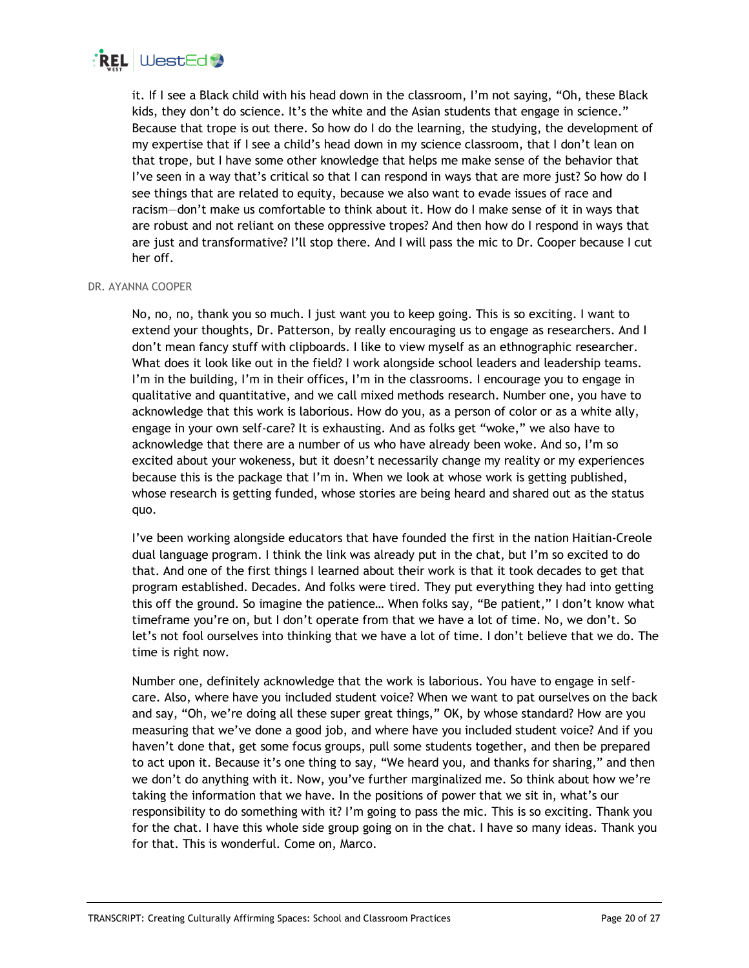

it. If I see a Black child with his head down in the classroom, I'm not saying, "Oh, these Black kids, they don't do science. It's the white and the Asian students that engage in science." Because that trope is out there. So how do I do the learning, the studying, the development of my expertise that if I see a child's head down in my science classroom, that I don't lean on that trope, but I have some other knowledge that helps me make sense of the behavior that I've seen in a way that's critical so that I can respond in ways that are more just? So how do I see things that are related to equity, because we also want to evade issues of race and racism—don't make us comfortable to think about it. How do I make sense of it in ways that are robust and not reliant on these oppressive tropes? And then how do I respond in ways that are just and transformative? I'll stop there. And I will pass the mic to Dr. Cooper because I cut her off.

#### DR. AYANNA COOPER

No, no, no, thank you so much. I just want you to keep going. This is so exciting. I want to extend your thoughts, Dr. Patterson, by really encouraging us to engage as researchers. And I don't mean fancy stuff with clipboards. I like to view myself as an ethnographic researcher. What does it look like out in the field? I work alongside school leaders and leadership teams. I'm in the building, I'm in their offices, I'm in the classrooms. I encourage you to engage in qualitative and quantitative, and we call mixed methods research. Number one, you have to acknowledge that this work is laborious. How do you, as a person of color or as a white ally, engage in your own self-care? It is exhausting. And as folks get "woke," we also have to acknowledge that there are a number of us who have already been woke. And so, I'm so excited about your wokeness, but it doesn't necessarily change my reality or my experiences because this is the package that I'm in. When we look at whose work is getting published, whose research is getting funded, whose stories are being heard and shared out as the status quo.

I've been working alongside educators that have founded the first in the nation Haitian-Creole dual language program. I think the link was already put in the chat, but I'm so excited to do that. And one of the first things I learned about their work is that it took decades to get that program established. Decades. And folks were tired. They put everything they had into getting this off the ground. So imagine the patience… When folks say, "Be patient," I don't know what timeframe you're on, but I don't operate from that we have a lot of time. No, we don't. So let's not fool ourselves into thinking that we have a lot of time. I don't believe that we do. The time is right now.

Number one, definitely acknowledge that the work is laborious. You have to engage in selfcare. Also, where have you included student voice? When we want to pat ourselves on the back and say, "Oh, we're doing all these super great things," OK, by whose standard? How are you measuring that we've done a good job, and where have you included student voice? And if you haven't done that, get some focus groups, pull some students together, and then be prepared to act upon it. Because it's one thing to say, "We heard you, and thanks for sharing," and then we don't do anything with it. Now, you've further marginalized me. So think about how we're taking the information that we have. In the positions of power that we sit in, what's our responsibility to do something with it? I'm going to pass the mic. This is so exciting. Thank you for the chat. I have this whole side group going on in the chat. I have so many ideas. Thank you for that. This is wonderful. Come on, Marco.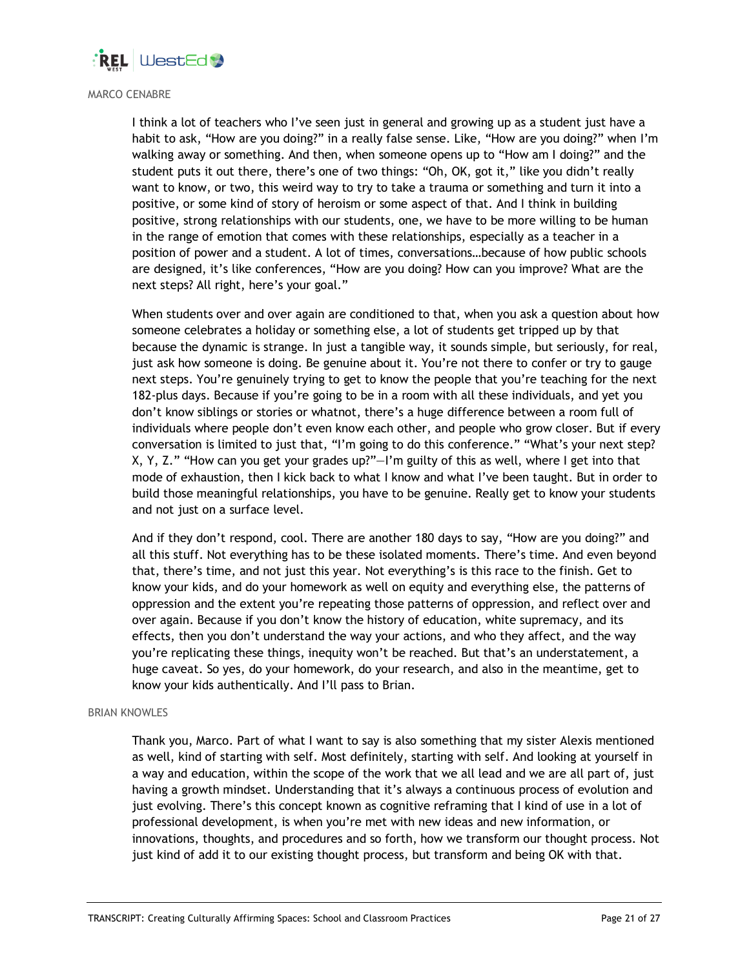

## MARCO CENABRE

I think a lot of teachers who I've seen just in general and growing up as a student just have a habit to ask, "How are you doing?" in a really false sense. Like, "How are you doing?" when I'm walking away or something. And then, when someone opens up to "How am I doing?" and the student puts it out there, there's one of two things: "Oh, OK, got it," like you didn't really want to know, or two, this weird way to try to take a trauma or something and turn it into a positive, or some kind of story of heroism or some aspect of that. And I think in building positive, strong relationships with our students, one, we have to be more willing to be human in the range of emotion that comes with these relationships, especially as a teacher in a position of power and a student. A lot of times, conversations…because of how public schools are designed, it's like conferences, "How are you doing? How can you improve? What are the next steps? All right, here's your goal."

When students over and over again are conditioned to that, when you ask a question about how someone celebrates a holiday or something else, a lot of students get tripped up by that because the dynamic is strange. In just a tangible way, it sounds simple, but seriously, for real, just ask how someone is doing. Be genuine about it. You're not there to confer or try to gauge next steps. You're genuinely trying to get to know the people that you're teaching for the next 182-plus days. Because if you're going to be in a room with all these individuals, and yet you don't know siblings or stories or whatnot, there's a huge difference between a room full of individuals where people don't even know each other, and people who grow closer. But if every conversation is limited to just that, "I'm going to do this conference." "What's your next step? X, Y, Z." "How can you get your grades up?"—I'm guilty of this as well, where I get into that mode of exhaustion, then I kick back to what I know and what I've been taught. But in order to build those meaningful relationships, you have to be genuine. Really get to know your students and not just on a surface level.

And if they don't respond, cool. There are another 180 days to say, "How are you doing?" and all this stuff. Not everything has to be these isolated moments. There's time. And even beyond that, there's time, and not just this year. Not everything's is this race to the finish. Get to know your kids, and do your homework as well on equity and everything else, the patterns of oppression and the extent you're repeating those patterns of oppression, and reflect over and over again. Because if you don't know the history of education, white supremacy, and its effects, then you don't understand the way your actions, and who they affect, and the way you're replicating these things, inequity won't be reached. But that's an understatement, a huge caveat. So yes, do your homework, do your research, and also in the meantime, get to know your kids authentically. And I'll pass to Brian.

## BRIAN KNOWLES

Thank you, Marco. Part of what I want to say is also something that my sister Alexis mentioned as well, kind of starting with self. Most definitely, starting with self. And looking at yourself in a way and education, within the scope of the work that we all lead and we are all part of, just having a growth mindset. Understanding that it's always a continuous process of evolution and just evolving. There's this concept known as cognitive reframing that I kind of use in a lot of professional development, is when you're met with new ideas and new information, or innovations, thoughts, and procedures and so forth, how we transform our thought process. Not just kind of add it to our existing thought process, but transform and being OK with that.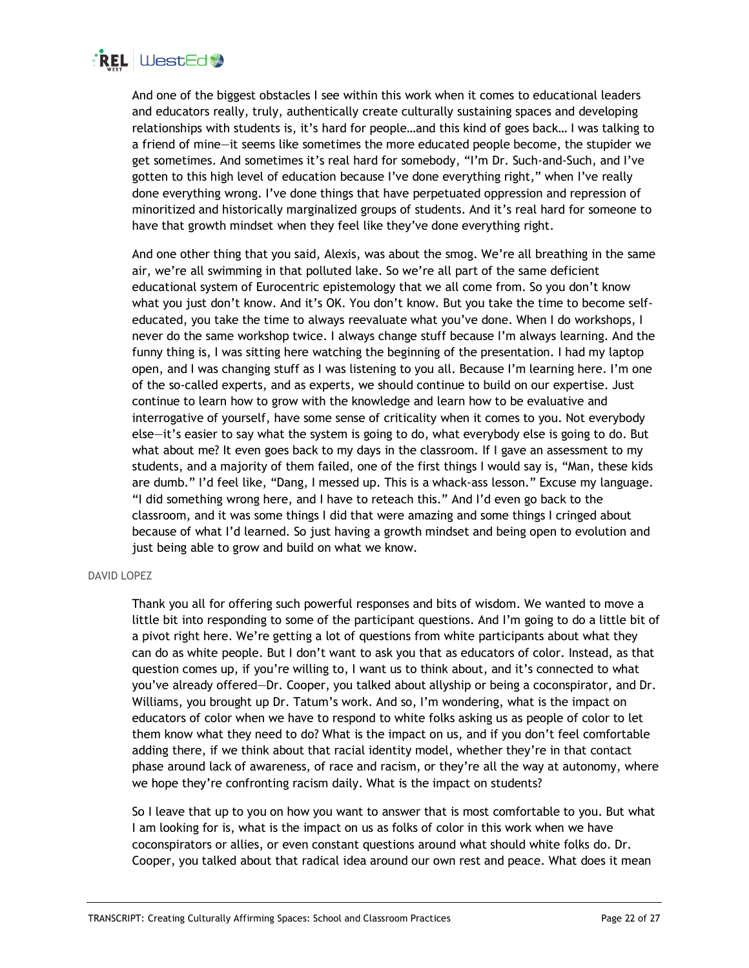

And one of the biggest obstacles I see within this work when it comes to educational leaders and educators really, truly, authentically create culturally sustaining spaces and developing relationships with students is, it's hard for people…and this kind of goes back… I was talking to a friend of mine—it seems like sometimes the more educated people become, the stupider we get sometimes. And sometimes it's real hard for somebody, "I'm Dr. Such-and-Such, and I've gotten to this high level of education because I've done everything right," when I've really done everything wrong. I've done things that have perpetuated oppression and repression of minoritized and historically marginalized groups of students. And it's real hard for someone to have that growth mindset when they feel like they've done everything right.

And one other thing that you said, Alexis, was about the smog. We're all breathing in the same air, we're all swimming in that polluted lake. So we're all part of the same deficient educational system of Eurocentric epistemology that we all come from. So you don't know what you just don't know. And it's OK. You don't know. But you take the time to become selfeducated, you take the time to always reevaluate what you've done. When I do workshops, I never do the same workshop twice. I always change stuff because I'm always learning. And the funny thing is, I was sitting here watching the beginning of the presentation. I had my laptop open, and I was changing stuff as I was listening to you all. Because I'm learning here. I'm one of the so-called experts, and as experts, we should continue to build on our expertise. Just continue to learn how to grow with the knowledge and learn how to be evaluative and interrogative of yourself, have some sense of criticality when it comes to you. Not everybody else—it's easier to say what the system is going to do, what everybody else is going to do. But what about me? It even goes back to my days in the classroom. If I gave an assessment to my students, and a majority of them failed, one of the first things I would say is, "Man, these kids are dumb." I'd feel like, "Dang, I messed up. This is a whack-ass lesson." Excuse my language. "I did something wrong here, and I have to reteach this." And I'd even go back to the classroom, and it was some things I did that were amazing and some things I cringed about because of what I'd learned. So just having a growth mindset and being open to evolution and just being able to grow and build on what we know.

## DAVID LOPEZ

Thank you all for offering such powerful responses and bits of wisdom. We wanted to move a little bit into responding to some of the participant questions. And I'm going to do a little bit of a pivot right here. We're getting a lot of questions from white participants about what they can do as white people. But I don't want to ask you that as educators of color. Instead, as that question comes up, if you're willing to, I want us to think about, and it's connected to what you've already offered—Dr. Cooper, you talked about allyship or being a coconspirator, and Dr. Williams, you brought up Dr. Tatum's work. And so, I'm wondering, what is the impact on educators of color when we have to respond to white folks asking us as people of color to let them know what they need to do? What is the impact on us, and if you don't feel comfortable adding there, if we think about that racial identity model, whether they're in that contact phase around lack of awareness, of race and racism, or they're all the way at autonomy, where we hope they're confronting racism daily. What is the impact on students?

So I leave that up to you on how you want to answer that is most comfortable to you. But what I am looking for is, what is the impact on us as folks of color in this work when we have coconspirators or allies, or even constant questions around what should white folks do. Dr. Cooper, you talked about that radical idea around our own rest and peace. What does it mean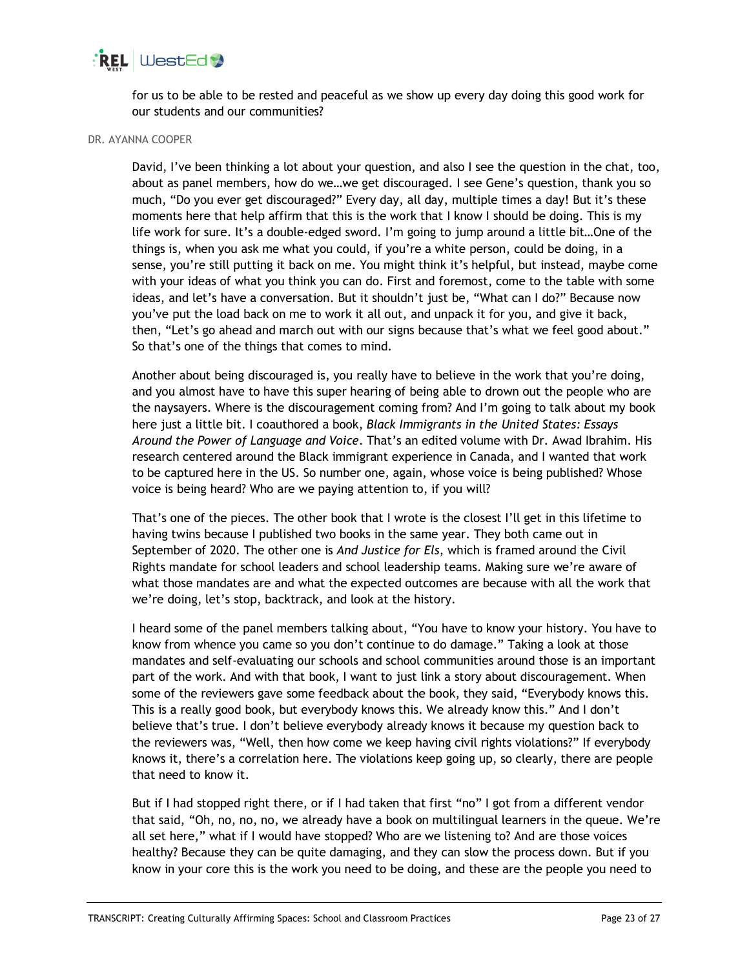

for us to be able to be rested and peaceful as we show up every day doing this good work for our students and our communities?

#### DR. AYANNA COOPER

David, I've been thinking a lot about your question, and also I see the question in the chat, too, about as panel members, how do we…we get discouraged. I see Gene's question, thank you so much, "Do you ever get discouraged?" Every day, all day, multiple times a day! But it's these moments here that help affirm that this is the work that I know I should be doing. This is my life work for sure. It's a double-edged sword. I'm going to jump around a little bit…One of the things is, when you ask me what you could, if you're a white person, could be doing, in a sense, you're still putting it back on me. You might think it's helpful, but instead, maybe come with your ideas of what you think you can do. First and foremost, come to the table with some ideas, and let's have a conversation. But it shouldn't just be, "What can I do?" Because now you've put the load back on me to work it all out, and unpack it for you, and give it back, then, "Let's go ahead and march out with our signs because that's what we feel good about." So that's one of the things that comes to mind.

Another about being discouraged is, you really have to believe in the work that you're doing, and you almost have to have this super hearing of being able to drown out the people who are the naysayers. Where is the discouragement coming from? And I'm going to talk about my book here just a little bit. I coauthored a book, *Black Immigrants in the United States: Essays Around the Power of Language and Voice*. That's an edited volume with Dr. Awad Ibrahim. His research centered around the Black immigrant experience in Canada, and I wanted that work to be captured here in the US. So number one, again, whose voice is being published? Whose voice is being heard? Who are we paying attention to, if you will?

That's one of the pieces. The other book that I wrote is the closest I'll get in this lifetime to having twins because I published two books in the same year. They both came out in September of 2020. The other one is *And Justice for Els*, which is framed around the Civil Rights mandate for school leaders and school leadership teams. Making sure we're aware of what those mandates are and what the expected outcomes are because with all the work that we're doing, let's stop, backtrack, and look at the history.

I heard some of the panel members talking about, "You have to know your history. You have to know from whence you came so you don't continue to do damage." Taking a look at those mandates and self-evaluating our schools and school communities around those is an important part of the work. And with that book, I want to just link a story about discouragement. When some of the reviewers gave some feedback about the book, they said, "Everybody knows this. This is a really good book, but everybody knows this. We already know this." And I don't believe that's true. I don't believe everybody already knows it because my question back to the reviewers was, "Well, then how come we keep having civil rights violations?" If everybody knows it, there's a correlation here. The violations keep going up, so clearly, there are people that need to know it.

But if I had stopped right there, or if I had taken that first "no" I got from a different vendor that said, "Oh, no, no, no, we already have a book on multilingual learners in the queue. We're all set here," what if I would have stopped? Who are we listening to? And are those voices healthy? Because they can be quite damaging, and they can slow the process down. But if you know in your core this is the work you need to be doing, and these are the people you need to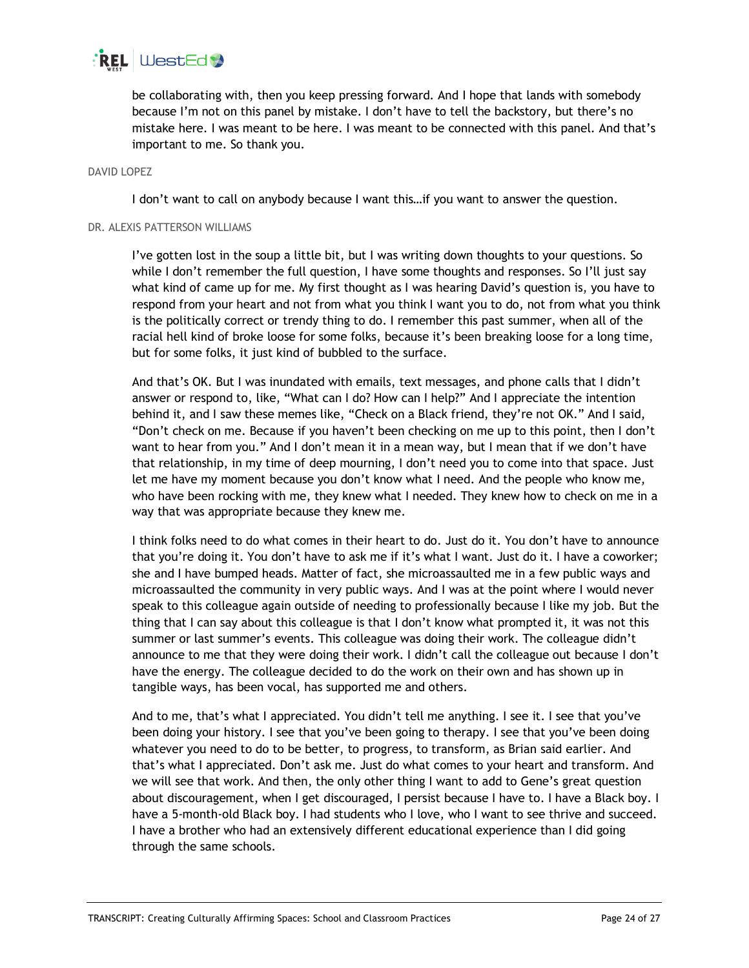

be collaborating with, then you keep pressing forward. And I hope that lands with somebody because I'm not on this panel by mistake. I don't have to tell the backstory, but there's no mistake here. I was meant to be here. I was meant to be connected with this panel. And that's important to me. So thank you.

## DAVID LOPEZ

I don't want to call on anybody because I want this…if you want to answer the question.

## DR. ALEXIS PATTERSON WILLIAMS

I've gotten lost in the soup a little bit, but I was writing down thoughts to your questions. So while I don't remember the full question, I have some thoughts and responses. So I'll just say what kind of came up for me. My first thought as I was hearing David's question is, you have to respond from your heart and not from what you think I want you to do, not from what you think is the politically correct or trendy thing to do. I remember this past summer, when all of the racial hell kind of broke loose for some folks, because it's been breaking loose for a long time, but for some folks, it just kind of bubbled to the surface.

And that's OK. But I was inundated with emails, text messages, and phone calls that I didn't answer or respond to, like, "What can I do? How can I help?" And I appreciate the intention behind it, and I saw these memes like, "Check on a Black friend, they're not OK." And I said, "Don't check on me. Because if you haven't been checking on me up to this point, then I don't want to hear from you." And I don't mean it in a mean way, but I mean that if we don't have that relationship, in my time of deep mourning, I don't need you to come into that space. Just let me have my moment because you don't know what I need. And the people who know me, who have been rocking with me, they knew what I needed. They knew how to check on me in a way that was appropriate because they knew me.

I think folks need to do what comes in their heart to do. Just do it. You don't have to announce that you're doing it. You don't have to ask me if it's what I want. Just do it. I have a coworker; she and I have bumped heads. Matter of fact, she microassaulted me in a few public ways and microassaulted the community in very public ways. And I was at the point where I would never speak to this colleague again outside of needing to professionally because I like my job. But the thing that I can say about this colleague is that I don't know what prompted it, it was not this summer or last summer's events. This colleague was doing their work. The colleague didn't announce to me that they were doing their work. I didn't call the colleague out because I don't have the energy. The colleague decided to do the work on their own and has shown up in tangible ways, has been vocal, has supported me and others.

And to me, that's what I appreciated. You didn't tell me anything. I see it. I see that you've been doing your history. I see that you've been going to therapy. I see that you've been doing whatever you need to do to be better, to progress, to transform, as Brian said earlier. And that's what I appreciated. Don't ask me. Just do what comes to your heart and transform. And we will see that work. And then, the only other thing I want to add to Gene's great question about discouragement, when I get discouraged, I persist because I have to. I have a Black boy. I have a 5-month-old Black boy. I had students who I love, who I want to see thrive and succeed. I have a brother who had an extensively different educational experience than I did going through the same schools.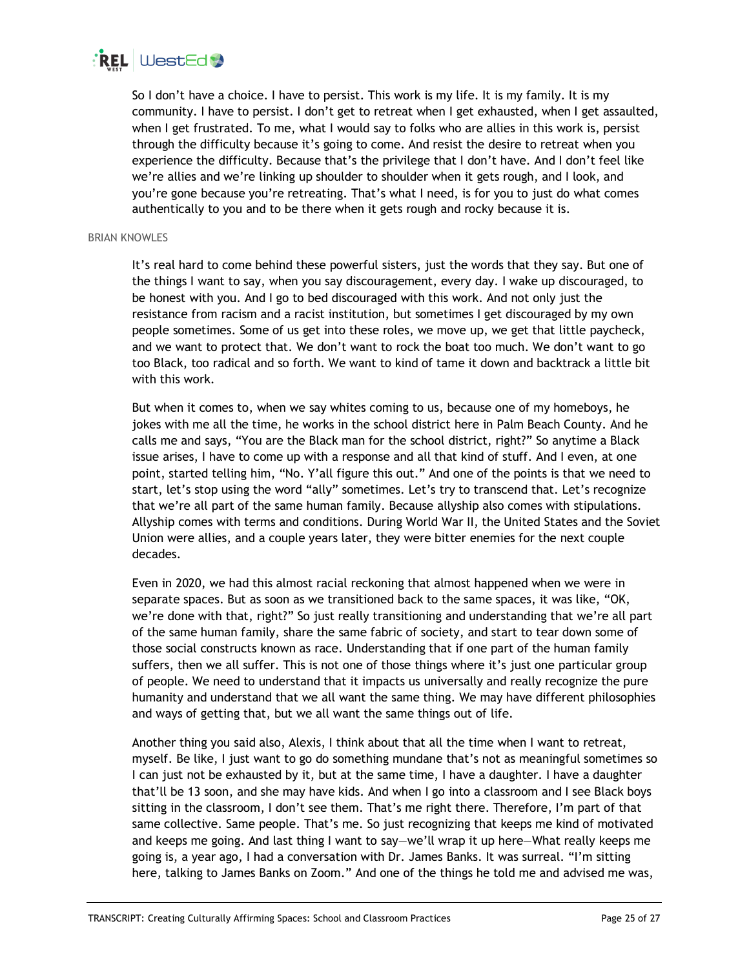

So I don't have a choice. I have to persist. This work is my life. It is my family. It is my community. I have to persist. I don't get to retreat when I get exhausted, when I get assaulted, when I get frustrated. To me, what I would say to folks who are allies in this work is, persist through the difficulty because it's going to come. And resist the desire to retreat when you experience the difficulty. Because that's the privilege that I don't have. And I don't feel like we're allies and we're linking up shoulder to shoulder when it gets rough, and I look, and you're gone because you're retreating. That's what I need, is for you to just do what comes authentically to you and to be there when it gets rough and rocky because it is.

#### BRIAN KNOWLES

It's real hard to come behind these powerful sisters, just the words that they say. But one of the things I want to say, when you say discouragement, every day. I wake up discouraged, to be honest with you. And I go to bed discouraged with this work. And not only just the resistance from racism and a racist institution, but sometimes I get discouraged by my own people sometimes. Some of us get into these roles, we move up, we get that little paycheck, and we want to protect that. We don't want to rock the boat too much. We don't want to go too Black, too radical and so forth. We want to kind of tame it down and backtrack a little bit with this work.

But when it comes to, when we say whites coming to us, because one of my homeboys, he jokes with me all the time, he works in the school district here in Palm Beach County. And he calls me and says, "You are the Black man for the school district, right?" So anytime a Black issue arises, I have to come up with a response and all that kind of stuff. And I even, at one point, started telling him, "No. Y'all figure this out." And one of the points is that we need to start, let's stop using the word "ally" sometimes. Let's try to transcend that. Let's recognize that we're all part of the same human family. Because allyship also comes with stipulations. Allyship comes with terms and conditions. During World War II, the United States and the Soviet Union were allies, and a couple years later, they were bitter enemies for the next couple decades.

Even in 2020, we had this almost racial reckoning that almost happened when we were in separate spaces. But as soon as we transitioned back to the same spaces, it was like, "OK, we're done with that, right?" So just really transitioning and understanding that we're all part of the same human family, share the same fabric of society, and start to tear down some of those social constructs known as race. Understanding that if one part of the human family suffers, then we all suffer. This is not one of those things where it's just one particular group of people. We need to understand that it impacts us universally and really recognize the pure humanity and understand that we all want the same thing. We may have different philosophies and ways of getting that, but we all want the same things out of life.

Another thing you said also, Alexis, I think about that all the time when I want to retreat, myself. Be like, I just want to go do something mundane that's not as meaningful sometimes so I can just not be exhausted by it, but at the same time, I have a daughter. I have a daughter that'll be 13 soon, and she may have kids. And when I go into a classroom and I see Black boys sitting in the classroom, I don't see them. That's me right there. Therefore, I'm part of that same collective. Same people. That's me. So just recognizing that keeps me kind of motivated and keeps me going. And last thing I want to say—we'll wrap it up here—What really keeps me going is, a year ago, I had a conversation with Dr. James Banks. It was surreal. "I'm sitting here, talking to James Banks on Zoom." And one of the things he told me and advised me was,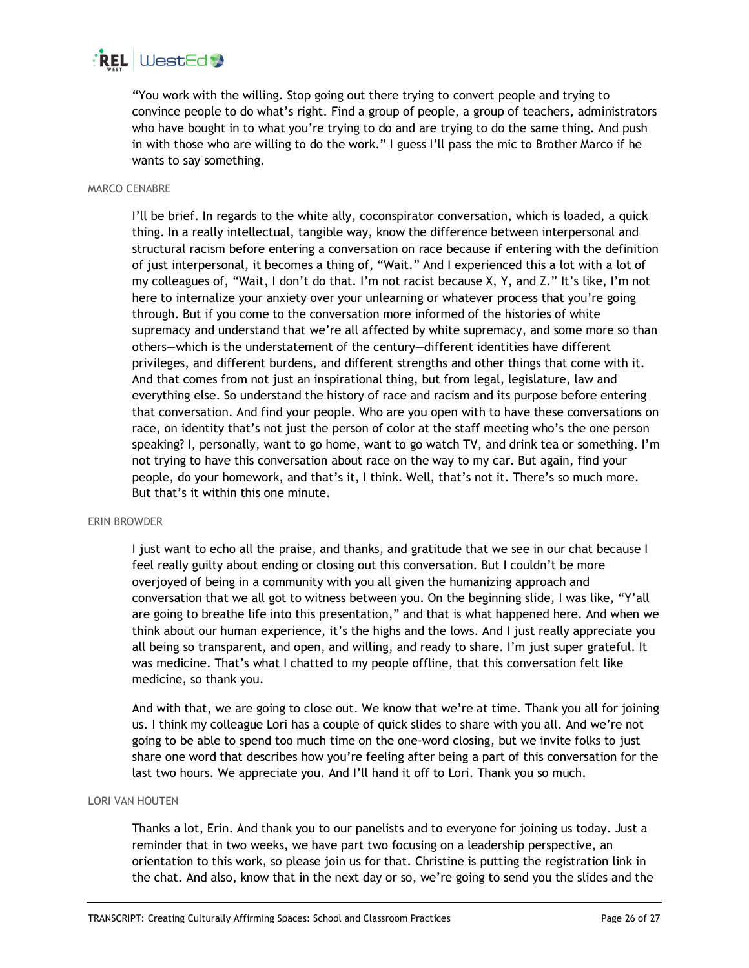

"You work with the willing. Stop going out there trying to convert people and trying to convince people to do what's right. Find a group of people, a group of teachers, administrators who have bought in to what you're trying to do and are trying to do the same thing. And push in with those who are willing to do the work." I guess I'll pass the mic to Brother Marco if he wants to say something.

# MARCO CENABRE

I'll be brief. In regards to the white ally, coconspirator conversation, which is loaded, a quick thing. In a really intellectual, tangible way, know the difference between interpersonal and structural racism before entering a conversation on race because if entering with the definition of just interpersonal, it becomes a thing of, "Wait." And I experienced this a lot with a lot of my colleagues of, "Wait, I don't do that. I'm not racist because X, Y, and Z." It's like, I'm not here to internalize your anxiety over your unlearning or whatever process that you're going through. But if you come to the conversation more informed of the histories of white supremacy and understand that we're all affected by white supremacy, and some more so than others—which is the understatement of the century—different identities have different privileges, and different burdens, and different strengths and other things that come with it. And that comes from not just an inspirational thing, but from legal, legislature, law and everything else. So understand the history of race and racism and its purpose before entering that conversation. And find your people. Who are you open with to have these conversations on race, on identity that's not just the person of color at the staff meeting who's the one person speaking? I, personally, want to go home, want to go watch TV, and drink tea or something. I'm not trying to have this conversation about race on the way to my car. But again, find your people, do your homework, and that's it, I think. Well, that's not it. There's so much more. But that's it within this one minute.

#### ERIN BROWDER

I just want to echo all the praise, and thanks, and gratitude that we see in our chat because I feel really guilty about ending or closing out this conversation. But I couldn't be more overjoyed of being in a community with you all given the humanizing approach and conversation that we all got to witness between you. On the beginning slide, I was like, "Y'all are going to breathe life into this presentation," and that is what happened here. And when we think about our human experience, it's the highs and the lows. And I just really appreciate you all being so transparent, and open, and willing, and ready to share. I'm just super grateful. It was medicine. That's what I chatted to my people offline, that this conversation felt like medicine, so thank you.

And with that, we are going to close out. We know that we're at time. Thank you all for joining us. I think my colleague Lori has a couple of quick slides to share with you all. And we're not going to be able to spend too much time on the one-word closing, but we invite folks to just share one word that describes how you're feeling after being a part of this conversation for the last two hours. We appreciate you. And I'll hand it off to Lori. Thank you so much.

## LORI VAN HOUTEN

Thanks a lot, Erin. And thank you to our panelists and to everyone for joining us today. Just a reminder that in two weeks, we have part two focusing on a leadership perspective, an orientation to this work, so please join us for that. Christine is putting the registration link in the chat. And also, know that in the next day or so, we're going to send you the slides and the